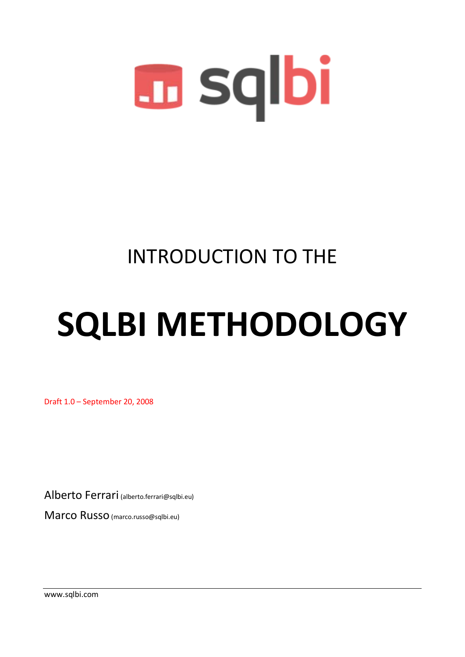

# INTRODUCTION TO THE

# **SQLBI METHODOLOGY**

Draft 1.0 – September 20, 2008

Alberto Ferrari (alberto.ferrari@sqlbi.eu)

Marco Russo(marco.russo@sqlbi.eu)

www.sqlbi.com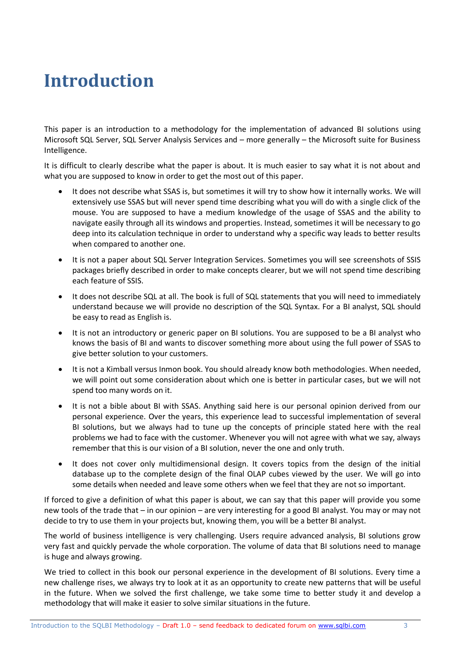# **Introduction**

This paper is an introduction to a methodology for the implementation of advanced BI solutions using Microsoft SQL Server, SQL Server Analysis Services and – more generally – the Microsoft suite for Business Intelligence.

It is difficult to clearly describe what the paper is about. It is much easier to say what it is not about and what you are supposed to know in order to get the most out of this paper.

- It does not describe what SSAS is, but sometimes it will try to show how it internally works. We will extensively use SSAS but will never spend time describing what you will do with a single click of the mouse. You are supposed to have a medium knowledge of the usage of SSAS and the ability to navigate easily through all its windows and properties. Instead, sometimes it will be necessary to go deep into its calculation technique in order to understand why a specific way leads to better results when compared to another one.
- It is not a paper about SQL Server Integration Services. Sometimes you will see screenshots of SSIS packages briefly described in order to make concepts clearer, but we will not spend time describing each feature of SSIS.
- It does not describe SQL at all. The book is full of SQL statements that you will need to immediately understand because we will provide no description of the SQL Syntax. For a BI analyst, SQL should be easy to read as English is.
- It is not an introductory or generic paper on BI solutions. You are supposed to be a BI analyst who knows the basis of BI and wants to discover something more about using the full power of SSAS to give better solution to your customers.
- It is not a Kimball versus Inmon book. You should already know both methodologies. When needed, we will point out some consideration about which one is better in particular cases, but we will not spend too many words on it.
- It is not a bible about BI with SSAS. Anything said here is our personal opinion derived from our personal experience. Over the years, this experience lead to successful implementation of several BI solutions, but we always had to tune up the concepts of principle stated here with the real problems we had to face with the customer. Whenever you will not agree with what we say, always remember that this is our vision of a BI solution, never the one and only truth.
- It does not cover only multidimensional design. It covers topics from the design of the initial database up to the complete design of the final OLAP cubes viewed by the user. We will go into some details when needed and leave some others when we feel that they are not so important.

If forced to give a definition of what this paper is about, we can say that this paper will provide you some new tools of the trade that – in our opinion – are very interesting for a good BI analyst. You may or may not decide to try to use them in your projects but, knowing them, you will be a better BI analyst.

The world of business intelligence is very challenging. Users require advanced analysis, BI solutions grow very fast and quickly pervade the whole corporation. The volume of data that BI solutions need to manage is huge and always growing.

We tried to collect in this book our personal experience in the development of BI solutions. Every time a new challenge rises, we always try to look at it as an opportunity to create new patterns that will be useful in the future. When we solved the first challenge, we take some time to better study it and develop a methodology that will make it easier to solve similar situations in the future.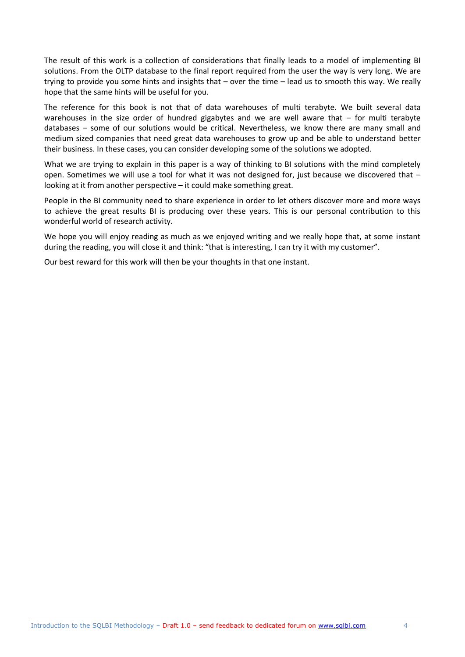The result of this work is a collection of considerations that finally leads to a model of implementing BI solutions. From the OLTP database to the final report required from the user the way is very long. We are trying to provide you some hints and insights that – over the time – lead us to smooth this way. We really hope that the same hints will be useful for you.

The reference for this book is not that of data warehouses of multi terabyte. We built several data warehouses in the size order of hundred gigabytes and we are well aware that – for multi terabyte databases – some of our solutions would be critical. Nevertheless, we know there are many small and medium sized companies that need great data warehouses to grow up and be able to understand better their business. In these cases, you can consider developing some of the solutions we adopted.

What we are trying to explain in this paper is a way of thinking to BI solutions with the mind completely open. Sometimes we will use a tool for what it was not designed for, just because we discovered that – looking at it from another perspective – it could make something great.

People in the BI community need to share experience in order to let others discover more and more ways to achieve the great results BI is producing over these years. This is our personal contribution to this wonderful world of research activity.

We hope you will enjoy reading as much as we enjoyed writing and we really hope that, at some instant during the reading, you will close it and think: "that is interesting, I can try it with my customer".

Our best reward for this work will then be your thoughts in that one instant.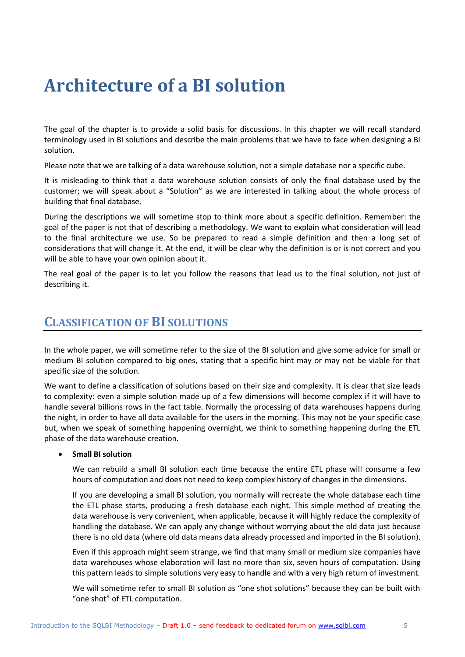# **Architecture of a BI solution**

The goal of the chapter is to provide a solid basis for discussions. In this chapter we will recall standard terminology used in BI solutions and describe the main problems that we have to face when designing a BI solution.

Please note that we are talking of a data warehouse solution, not a simple database nor a specific cube.

It is misleading to think that a data warehouse solution consists of only the final database used by the customer; we will speak about a "Solution" as we are interested in talking about the whole process of building that final database.

During the descriptions we will sometime stop to think more about a specific definition. Remember: the goal of the paper is not that of describing a methodology. We want to explain what consideration will lead to the final architecture we use. So be prepared to read a simple definition and then a long set of considerations that will change it. At the end, it will be clear why the definition is or is not correct and you will be able to have your own opinion about it.

The real goal of the paper is to let you follow the reasons that lead us to the final solution, not just of describing it.

## **CLASSIFICATION OF BI SOLUTIONS**

In the whole paper, we will sometime refer to the size of the BI solution and give some advice for small or medium BI solution compared to big ones, stating that a specific hint may or may not be viable for that specific size of the solution.

We want to define a classification of solutions based on their size and complexity. It is clear that size leads to complexity: even a simple solution made up of a few dimensions will become complex if it will have to handle several billions rows in the fact table. Normally the processing of data warehouses happens during the night, in order to have all data available for the users in the morning. This may not be your specific case but, when we speak of something happening overnight, we think to something happening during the ETL phase of the data warehouse creation.

#### **Small BI solution**

We can rebuild a small BI solution each time because the entire ETL phase will consume a few hours of computation and does not need to keep complex history of changes in the dimensions.

If you are developing a small BI solution, you normally will recreate the whole database each time the ETL phase starts, producing a fresh database each night. This simple method of creating the data warehouse is very convenient, when applicable, because it will highly reduce the complexity of handling the database. We can apply any change without worrying about the old data just because there is no old data (where old data means data already processed and imported in the BI solution).

Even if this approach might seem strange, we find that many small or medium size companies have data warehouses whose elaboration will last no more than six, seven hours of computation. Using this pattern leads to simple solutions very easy to handle and with a very high return of investment.

We will sometime refer to small BI solution as "one shot solutions" because they can be built with "one shot" of ETL computation.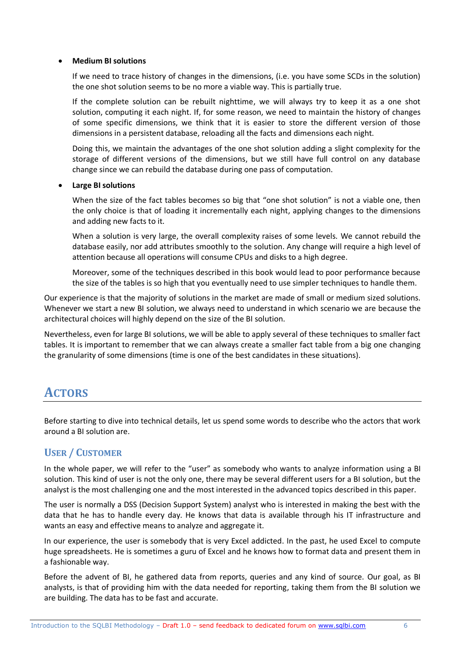#### **Medium BI solutions**

If we need to trace history of changes in the dimensions, (i.e. you have some SCDs in the solution) the one shot solution seems to be no more a viable way. This is partially true.

If the complete solution can be rebuilt nighttime, we will always try to keep it as a one shot solution, computing it each night. If, for some reason, we need to maintain the history of changes of some specific dimensions, we think that it is easier to store the different version of those dimensions in a persistent database, reloading all the facts and dimensions each night.

Doing this, we maintain the advantages of the one shot solution adding a slight complexity for the storage of different versions of the dimensions, but we still have full control on any database change since we can rebuild the database during one pass of computation.

#### **Large BI solutions**

When the size of the fact tables becomes so big that "one shot solution" is not a viable one, then the only choice is that of loading it incrementally each night, applying changes to the dimensions and adding new facts to it.

When a solution is very large, the overall complexity raises of some levels. We cannot rebuild the database easily, nor add attributes smoothly to the solution. Any change will require a high level of attention because all operations will consume CPUs and disks to a high degree.

Moreover, some of the techniques described in this book would lead to poor performance because the size of the tables is so high that you eventually need to use simpler techniques to handle them.

Our experience is that the majority of solutions in the market are made of small or medium sized solutions. Whenever we start a new BI solution, we always need to understand in which scenario we are because the architectural choices will highly depend on the size of the BI solution.

Nevertheless, even for large BI solutions, we will be able to apply several of these techniques to smaller fact tables. It is important to remember that we can always create a smaller fact table from a big one changing the granularity of some dimensions (time is one of the best candidates in these situations).

## **ACTORS**

Before starting to dive into technical details, let us spend some words to describe who the actors that work around a BI solution are.

#### **USER / CUSTOMER**

In the whole paper, we will refer to the "user" as somebody who wants to analyze information using a BI solution. This kind of user is not the only one, there may be several different users for a BI solution, but the analyst is the most challenging one and the most interested in the advanced topics described in this paper.

The user is normally a DSS (Decision Support System) analyst who is interested in making the best with the data that he has to handle every day. He knows that data is available through his IT infrastructure and wants an easy and effective means to analyze and aggregate it.

In our experience, the user is somebody that is very Excel addicted. In the past, he used Excel to compute huge spreadsheets. He is sometimes a guru of Excel and he knows how to format data and present them in a fashionable way.

Before the advent of BI, he gathered data from reports, queries and any kind of source. Our goal, as BI analysts, is that of providing him with the data needed for reporting, taking them from the BI solution we are building. The data has to be fast and accurate.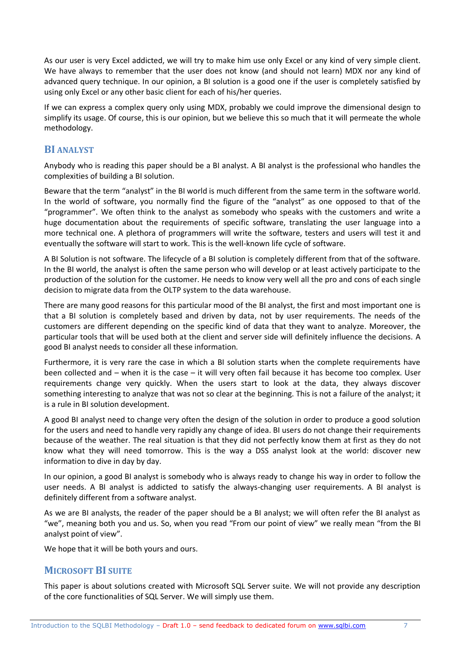As our user is very Excel addicted, we will try to make him use only Excel or any kind of very simple client. We have always to remember that the user does not know (and should not learn) MDX nor any kind of advanced query technique. In our opinion, a BI solution is a good one if the user is completely satisfied by using only Excel or any other basic client for each of his/her queries.

If we can express a complex query only using MDX, probably we could improve the dimensional design to simplify its usage. Of course, this is our opinion, but we believe this so much that it will permeate the whole methodology.

#### **BI ANALYST**

Anybody who is reading this paper should be a BI analyst. A BI analyst is the professional who handles the complexities of building a BI solution.

Beware that the term "analyst" in the BI world is much different from the same term in the software world. In the world of software, you normally find the figure of the "analyst" as one opposed to that of the "programmer". We often think to the analyst as somebody who speaks with the customers and write a huge documentation about the requirements of specific software, translating the user language into a more technical one. A plethora of programmers will write the software, testers and users will test it and eventually the software will start to work. This is the well-known life cycle of software.

A BI Solution is not software. The lifecycle of a BI solution is completely different from that of the software. In the BI world, the analyst is often the same person who will develop or at least actively participate to the production of the solution for the customer. He needs to know very well all the pro and cons of each single decision to migrate data from the OLTP system to the data warehouse.

There are many good reasons for this particular mood of the BI analyst, the first and most important one is that a BI solution is completely based and driven by data, not by user requirements. The needs of the customers are different depending on the specific kind of data that they want to analyze. Moreover, the particular tools that will be used both at the client and server side will definitely influence the decisions. A good BI analyst needs to consider all these information.

Furthermore, it is very rare the case in which a BI solution starts when the complete requirements have been collected and – when it is the case – it will very often fail because it has become too complex. User requirements change very quickly. When the users start to look at the data, they always discover something interesting to analyze that was not so clear at the beginning. This is not a failure of the analyst; it is a rule in BI solution development.

A good BI analyst need to change very often the design of the solution in order to produce a good solution for the users and need to handle very rapidly any change of idea. BI users do not change their requirements because of the weather. The real situation is that they did not perfectly know them at first as they do not know what they will need tomorrow. This is the way a DSS analyst look at the world: discover new information to dive in day by day.

In our opinion, a good BI analyst is somebody who is always ready to change his way in order to follow the user needs. A BI analyst is addicted to satisfy the always-changing user requirements. A BI analyst is definitely different from a software analyst.

As we are BI analysts, the reader of the paper should be a BI analyst; we will often refer the BI analyst as "we", meaning both you and us. So, when you read "From our point of view" we really mean "from the BI analyst point of view".

We hope that it will be both yours and ours.

#### **MICROSOFT BI SUITE**

This paper is about solutions created with Microsoft SQL Server suite. We will not provide any description of the core functionalities of SQL Server. We will simply use them.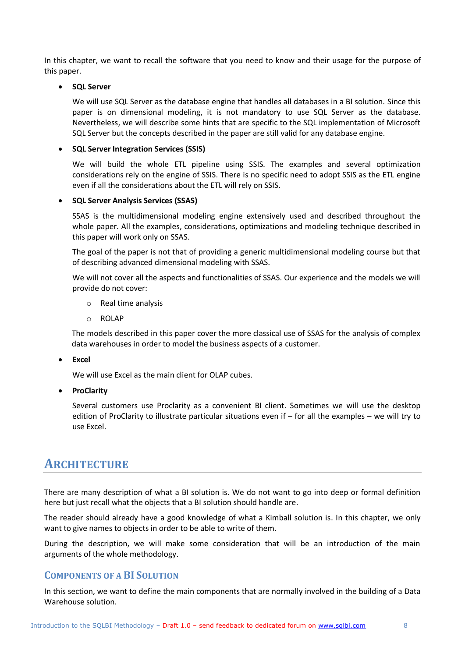In this chapter, we want to recall the software that you need to know and their usage for the purpose of this paper.

#### **SQL Server**

We will use SQL Server as the database engine that handles all databases in a BI solution. Since this paper is on dimensional modeling, it is not mandatory to use SQL Server as the database. Nevertheless, we will describe some hints that are specific to the SQL implementation of Microsoft SQL Server but the concepts described in the paper are still valid for any database engine.

#### **SQL Server Integration Services (SSIS)**

We will build the whole ETL pipeline using SSIS. The examples and several optimization considerations rely on the engine of SSIS. There is no specific need to adopt SSIS as the ETL engine even if all the considerations about the ETL will rely on SSIS.

#### **SQL Server Analysis Services (SSAS)**

SSAS is the multidimensional modeling engine extensively used and described throughout the whole paper. All the examples, considerations, optimizations and modeling technique described in this paper will work only on SSAS.

The goal of the paper is not that of providing a generic multidimensional modeling course but that of describing advanced dimensional modeling with SSAS.

We will not cover all the aspects and functionalities of SSAS. Our experience and the models we will provide do not cover:

- o Real time analysis
- o ROLAP

The models described in this paper cover the more classical use of SSAS for the analysis of complex data warehouses in order to model the business aspects of a customer.

**Excel**

We will use Excel as the main client for OLAP cubes.

**•** ProClarity

Several customers use Proclarity as a convenient BI client. Sometimes we will use the desktop edition of ProClarity to illustrate particular situations even if – for all the examples – we will try to use Excel.

## **ARCHITECTURE**

There are many description of what a BI solution is. We do not want to go into deep or formal definition here but just recall what the objects that a BI solution should handle are.

The reader should already have a good knowledge of what a Kimball solution is. In this chapter, we only want to give names to objects in order to be able to write of them.

During the description, we will make some consideration that will be an introduction of the main arguments of the whole methodology.

#### **COMPONENTS OF A BI SOLUTION**

In this section, we want to define the main components that are normally involved in the building of a Data Warehouse solution.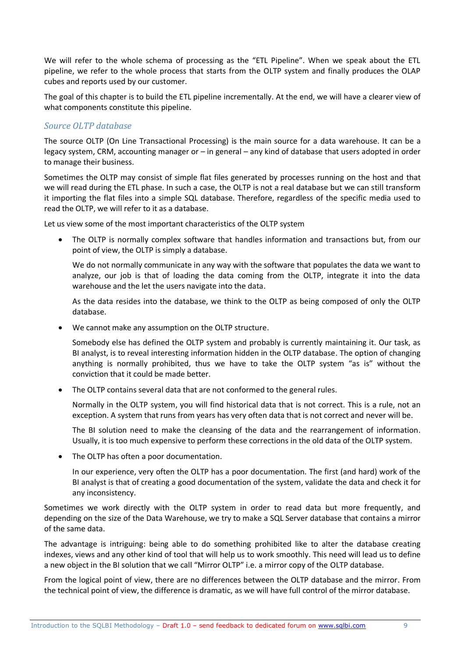We will refer to the whole schema of processing as the "ETL Pipeline". When we speak about the ETL pipeline, we refer to the whole process that starts from the OLTP system and finally produces the OLAP cubes and reports used by our customer.

The goal of this chapter is to build the ETL pipeline incrementally. At the end, we will have a clearer view of what components constitute this pipeline.

#### *Source OLTP database*

The source OLTP (On Line Transactional Processing) is the main source for a data warehouse. It can be a legacy system, CRM, accounting manager or – in general – any kind of database that users adopted in order to manage their business.

Sometimes the OLTP may consist of simple flat files generated by processes running on the host and that we will read during the ETL phase. In such a case, the OLTP is not a real database but we can still transform it importing the flat files into a simple SQL database. Therefore, regardless of the specific media used to read the OLTP, we will refer to it as a database.

Let us view some of the most important characteristics of the OLTP system

 The OLTP is normally complex software that handles information and transactions but, from our point of view, the OLTP is simply a database.

We do not normally communicate in any way with the software that populates the data we want to analyze, our job is that of loading the data coming from the OLTP, integrate it into the data warehouse and the let the users navigate into the data.

As the data resides into the database, we think to the OLTP as being composed of only the OLTP database.

We cannot make any assumption on the OLTP structure.

Somebody else has defined the OLTP system and probably is currently maintaining it. Our task, as BI analyst, is to reveal interesting information hidden in the OLTP database. The option of changing anything is normally prohibited, thus we have to take the OLTP system "as is" without the conviction that it could be made better.

• The OLTP contains several data that are not conformed to the general rules.

Normally in the OLTP system, you will find historical data that is not correct. This is a rule, not an exception. A system that runs from years has very often data that is not correct and never will be.

The BI solution need to make the cleansing of the data and the rearrangement of information. Usually, it is too much expensive to perform these corrections in the old data of the OLTP system.

• The OLTP has often a poor documentation.

In our experience, very often the OLTP has a poor documentation. The first (and hard) work of the BI analyst is that of creating a good documentation of the system, validate the data and check it for any inconsistency.

Sometimes we work directly with the OLTP system in order to read data but more frequently, and depending on the size of the Data Warehouse, we try to make a SQL Server database that contains a mirror of the same data.

The advantage is intriguing: being able to do something prohibited like to alter the database creating indexes, views and any other kind of tool that will help us to work smoothly. This need will lead us to define a new object in the BI solution that we call "Mirror OLTP" i.e. a mirror copy of the OLTP database.

From the logical point of view, there are no differences between the OLTP database and the mirror. From the technical point of view, the difference is dramatic, as we will have full control of the mirror database.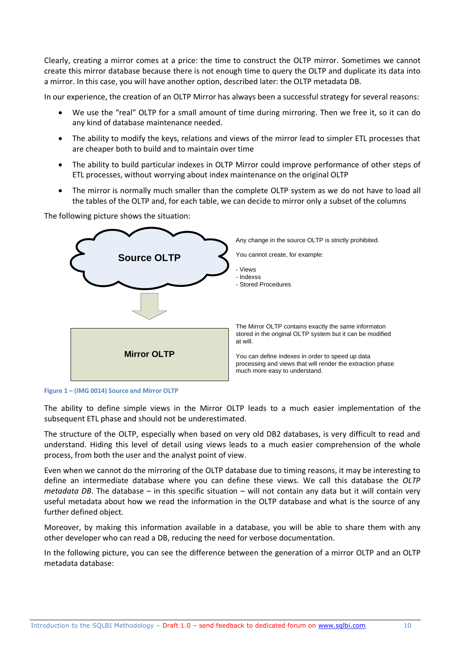Clearly, creating a mirror comes at a price: the time to construct the OLTP mirror. Sometimes we cannot create this mirror database because there is not enough time to query the OLTP and duplicate its data into a mirror. In this case, you will have another option, described later: the OLTP metadata DB.

In our experience, the creation of an OLTP Mirror has always been a successful strategy for several reasons:

- We use the "real" OLTP for a small amount of time during mirroring. Then we free it, so it can do any kind of database maintenance needed.
- The ability to modify the keys, relations and views of the mirror lead to simpler ETL processes that are cheaper both to build and to maintain over time
- The ability to build particular indexes in OLTP Mirror could improve performance of other steps of ETL processes, without worrying about index maintenance on the original OLTP
- The mirror is normally much smaller than the complete OLTP system as we do not have to load all the tables of the OLTP and, for each table, we can decide to mirror only a subset of the columns





**Figure 1 – (IMG 0014) Source and Mirror OLTP**

The ability to define simple views in the Mirror OLTP leads to a much easier implementation of the subsequent ETL phase and should not be underestimated.

The structure of the OLTP, especially when based on very old DB2 databases, is very difficult to read and understand. Hiding this level of detail using views leads to a much easier comprehension of the whole process, from both the user and the analyst point of view.

Even when we cannot do the mirroring of the OLTP database due to timing reasons, it may be interesting to define an intermediate database where you can define these views. We call this database the *OLTP metadata DB*. The database – in this specific situation – will not contain any data but it will contain very useful metadata about how we read the information in the OLTP database and what is the source of any further defined object.

Moreover, by making this information available in a database, you will be able to share them with any other developer who can read a DB, reducing the need for verbose documentation.

In the following picture, you can see the difference between the generation of a mirror OLTP and an OLTP metadata database: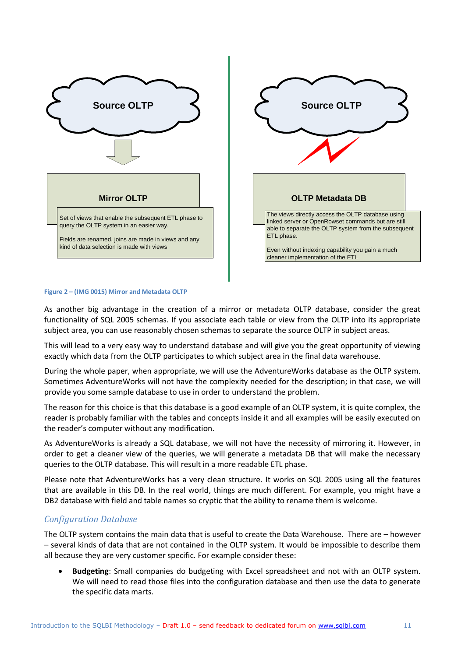



#### **Figure 2 – (IMG 0015) Mirror and Metadata OLTP**

As another big advantage in the creation of a mirror or metadata OLTP database, consider the great functionality of SQL 2005 schemas. If you associate each table or view from the OLTP into its appropriate subject area, you can use reasonably chosen schemas to separate the source OLTP in subject areas.

This will lead to a very easy way to understand database and will give you the great opportunity of viewing exactly which data from the OLTP participates to which subject area in the final data warehouse.

During the whole paper, when appropriate, we will use the AdventureWorks database as the OLTP system. Sometimes AdventureWorks will not have the complexity needed for the description; in that case, we will provide you some sample database to use in order to understand the problem.

The reason for this choice is that this database is a good example of an OLTP system, it is quite complex, the reader is probably familiar with the tables and concepts inside it and all examples will be easily executed on the reader's computer without any modification.

As AdventureWorks is already a SQL database, we will not have the necessity of mirroring it. However, in order to get a cleaner view of the queries, we will generate a metadata DB that will make the necessary queries to the OLTP database. This will result in a more readable ETL phase.

Please note that AdventureWorks has a very clean structure. It works on SQL 2005 using all the features that are available in this DB. In the real world, things are much different. For example, you might have a DB2 database with field and table names so cryptic that the ability to rename them is welcome.

#### *Configuration Database*

The OLTP system contains the main data that is useful to create the Data Warehouse. There are – however – several kinds of data that are not contained in the OLTP system. It would be impossible to describe them all because they are very customer specific. For example consider these:

 **Budgeting**: Small companies do budgeting with Excel spreadsheet and not with an OLTP system. We will need to read those files into the configuration database and then use the data to generate the specific data marts.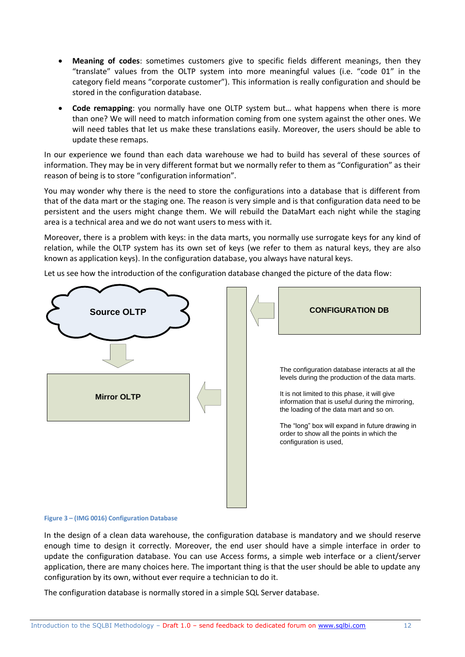- **Meaning of codes**: sometimes customers give to specific fields different meanings, then they "translate" values from the OLTP system into more meaningful values (i.e. "code 01" in the category field means "corporate customer"). This information is really configuration and should be stored in the configuration database.
- **Code remapping**: you normally have one OLTP system but… what happens when there is more than one? We will need to match information coming from one system against the other ones. We will need tables that let us make these translations easily. Moreover, the users should be able to update these remaps.

In our experience we found than each data warehouse we had to build has several of these sources of information. They may be in very different format but we normally refer to them as "Configuration" as their reason of being is to store "configuration information".

You may wonder why there is the need to store the configurations into a database that is different from that of the data mart or the staging one. The reason is very simple and is that configuration data need to be persistent and the users might change them. We will rebuild the DataMart each night while the staging area is a technical area and we do not want users to mess with it.

Moreover, there is a problem with keys: in the data marts, you normally use surrogate keys for any kind of relation, while the OLTP system has its own set of keys (we refer to them as natural keys, they are also known as application keys). In the configuration database, you always have natural keys.

Let us see how the introduction of the configuration database changed the picture of the data flow:



#### **Figure 3 – (IMG 0016) Configuration Database**

In the design of a clean data warehouse, the configuration database is mandatory and we should reserve enough time to design it correctly. Moreover, the end user should have a simple interface in order to update the configuration database. You can use Access forms, a simple web interface or a client/server application, there are many choices here. The important thing is that the user should be able to update any configuration by its own, without ever require a technician to do it.

The configuration database is normally stored in a simple SQL Server database.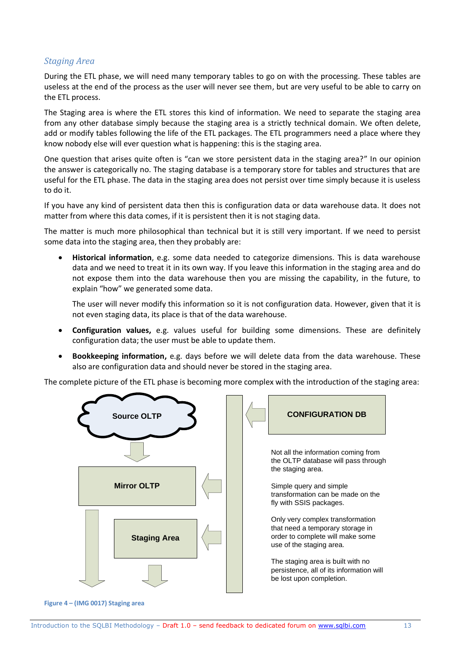#### *Staging Area*

During the ETL phase, we will need many temporary tables to go on with the processing. These tables are useless at the end of the process as the user will never see them, but are very useful to be able to carry on the ETL process.

The Staging area is where the ETL stores this kind of information. We need to separate the staging area from any other database simply because the staging area is a strictly technical domain. We often delete, add or modify tables following the life of the ETL packages. The ETL programmers need a place where they know nobody else will ever question what is happening: this is the staging area.

One question that arises quite often is "can we store persistent data in the staging area?" In our opinion the answer is categorically no. The staging database is a temporary store for tables and structures that are useful for the ETL phase. The data in the staging area does not persist over time simply because it is useless to do it.

If you have any kind of persistent data then this is configuration data or data warehouse data. It does not matter from where this data comes, if it is persistent then it is not staging data.

The matter is much more philosophical than technical but it is still very important. If we need to persist some data into the staging area, then they probably are:

 **Historical information**, e.g. some data needed to categorize dimensions. This is data warehouse data and we need to treat it in its own way. If you leave this information in the staging area and do not expose them into the data warehouse then you are missing the capability, in the future, to explain "how" we generated some data.

The user will never modify this information so it is not configuration data. However, given that it is not even staging data, its place is that of the data warehouse.

- **Configuration values,** e.g. values useful for building some dimensions. These are definitely configuration data; the user must be able to update them.
- **Bookkeeping information,** e.g. days before we will delete data from the data warehouse. These also are configuration data and should never be stored in the staging area.

The complete picture of the ETL phase is becoming more complex with the introduction of the staging area:



**Figure 4 – (IMG 0017) Staging area**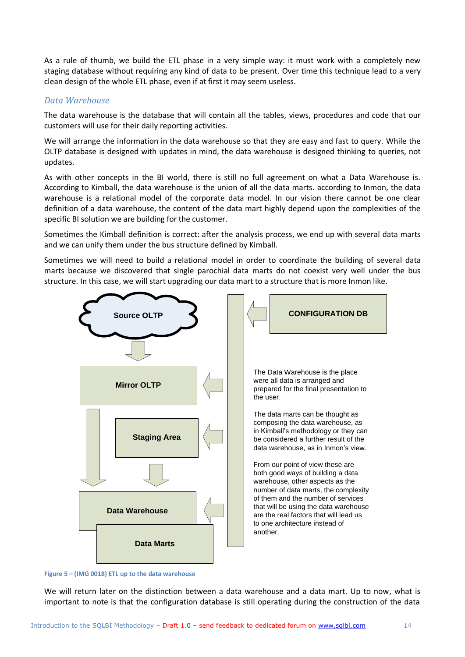As a rule of thumb, we build the ETL phase in a very simple way: it must work with a completely new staging database without requiring any kind of data to be present. Over time this technique lead to a very clean design of the whole ETL phase, even if at first it may seem useless.

#### *Data Warehouse*

The data warehouse is the database that will contain all the tables, views, procedures and code that our customers will use for their daily reporting activities.

We will arrange the information in the data warehouse so that they are easy and fast to query. While the OLTP database is designed with updates in mind, the data warehouse is designed thinking to queries, not updates.

As with other concepts in the BI world, there is still no full agreement on what a Data Warehouse is. According to Kimball, the data warehouse is the union of all the data marts. according to Inmon, the data warehouse is a relational model of the corporate data model. In our vision there cannot be one clear definition of a data warehouse, the content of the data mart highly depend upon the complexities of the specific BI solution we are building for the customer.

Sometimes the Kimball definition is correct: after the analysis process, we end up with several data marts and we can unify them under the bus structure defined by Kimball.

Sometimes we will need to build a relational model in order to coordinate the building of several data marts because we discovered that single parochial data marts do not coexist very well under the bus structure. In this case, we will start upgrading our data mart to a structure that is more Inmon like.



**Figure 5 – (IMG 0018) ETL up to the data warehouse**

We will return later on the distinction between a data warehouse and a data mart. Up to now, what is important to note is that the configuration database is still operating during the construction of the data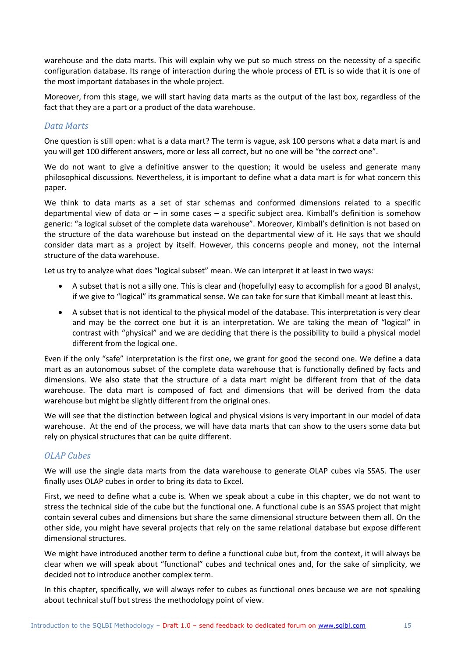warehouse and the data marts. This will explain why we put so much stress on the necessity of a specific configuration database. Its range of interaction during the whole process of ETL is so wide that it is one of the most important databases in the whole project.

Moreover, from this stage, we will start having data marts as the output of the last box, regardless of the fact that they are a part or a product of the data warehouse.

#### *Data Marts*

One question is still open: what is a data mart? The term is vague, ask 100 persons what a data mart is and you will get 100 different answers, more or less all correct, but no one will be "the correct one".

We do not want to give a definitive answer to the question; it would be useless and generate many philosophical discussions. Nevertheless, it is important to define what a data mart is for what concern this paper.

We think to data marts as a set of star schemas and conformed dimensions related to a specific departmental view of data or – in some cases – a specific subject area. Kimball's definition is somehow generic: "a logical subset of the complete data warehouse". Moreover, Kimball's definition is not based on the structure of the data warehouse but instead on the departmental view of it. He says that we should consider data mart as a project by itself. However, this concerns people and money, not the internal structure of the data warehouse.

Let us try to analyze what does "logical subset" mean. We can interpret it at least in two ways:

- A subset that is not a silly one. This is clear and (hopefully) easy to accomplish for a good BI analyst, if we give to "logical" its grammatical sense. We can take for sure that Kimball meant at least this.
- A subset that is not identical to the physical model of the database. This interpretation is very clear and may be the correct one but it is an interpretation. We are taking the mean of "logical" in contrast with "physical" and we are deciding that there is the possibility to build a physical model different from the logical one.

Even if the only "safe" interpretation is the first one, we grant for good the second one. We define a data mart as an autonomous subset of the complete data warehouse that is functionally defined by facts and dimensions. We also state that the structure of a data mart might be different from that of the data warehouse. The data mart is composed of fact and dimensions that will be derived from the data warehouse but might be slightly different from the original ones.

We will see that the distinction between logical and physical visions is very important in our model of data warehouse. At the end of the process, we will have data marts that can show to the users some data but rely on physical structures that can be quite different.

#### *OLAP Cubes*

We will use the single data marts from the data warehouse to generate OLAP cubes via SSAS. The user finally uses OLAP cubes in order to bring its data to Excel.

First, we need to define what a cube is. When we speak about a cube in this chapter, we do not want to stress the technical side of the cube but the functional one. A functional cube is an SSAS project that might contain several cubes and dimensions but share the same dimensional structure between them all. On the other side, you might have several projects that rely on the same relational database but expose different dimensional structures.

We might have introduced another term to define a functional cube but, from the context, it will always be clear when we will speak about "functional" cubes and technical ones and, for the sake of simplicity, we decided not to introduce another complex term.

In this chapter, specifically, we will always refer to cubes as functional ones because we are not speaking about technical stuff but stress the methodology point of view.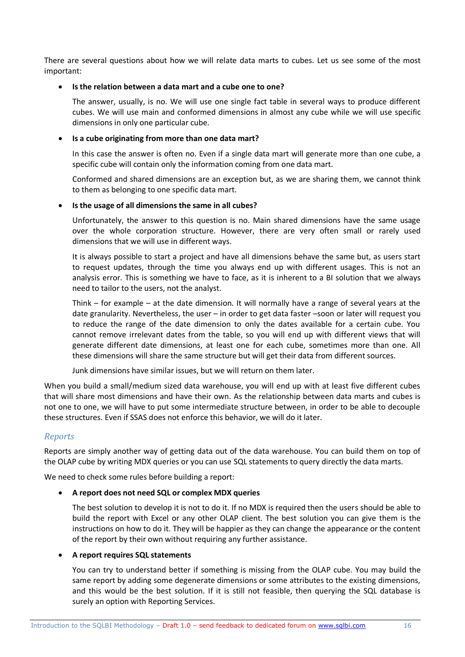There are several questions about how we will relate data marts to cubes. Let us see some of the most important:

#### **Is the relation between a data mart and a cube one to one?**

The answer, usually, is no. We will use one single fact table in several ways to produce different cubes. We will use main and conformed dimensions in almost any cube while we will use specific dimensions in only one particular cube.

#### **Is a cube originating from more than one data mart?**

In this case the answer is often no. Even if a single data mart will generate more than one cube, a specific cube will contain only the information coming from one data mart.

Conformed and shared dimensions are an exception but, as we are sharing them, we cannot think to them as belonging to one specific data mart.

#### **Is the usage of all dimensions the same in all cubes?**

Unfortunately, the answer to this question is no. Main shared dimensions have the same usage over the whole corporation structure. However, there are very often small or rarely used dimensions that we will use in different ways.

It is always possible to start a project and have all dimensions behave the same but, as users start to request updates, through the time you always end up with different usages. This is not an analysis error. This is something we have to face, as it is inherent to a BI solution that we always need to tailor to the users, not the analyst.

Think – for example – at the date dimension. It will normally have a range of several years at the date granularity. Nevertheless, the user – in order to get data faster –soon or later will request you to reduce the range of the date dimension to only the dates available for a certain cube. You cannot remove irrelevant dates from the table, so you will end up with different views that will generate different date dimensions, at least one for each cube, sometimes more than one. All these dimensions will share the same structure but will get their data from different sources.

Junk dimensions have similar issues, but we will return on them later.

When you build a small/medium sized data warehouse, you will end up with at least five different cubes that will share most dimensions and have their own. As the relationship between data marts and cubes is not one to one, we will have to put some intermediate structure between, in order to be able to decouple these structures. Even if SSAS does not enforce this behavior, we will do it later.

#### *Reports*

Reports are simply another way of getting data out of the data warehouse. You can build them on top of the OLAP cube by writing MDX queries or you can use SQL statements to query directly the data marts.

We need to check some rules before building a report:

#### **A report does not need SQL or complex MDX queries**

The best solution to develop it is not to do it. If no MDX is required then the users should be able to build the report with Excel or any other OLAP client. The best solution you can give them is the instructions on how to do it. They will be happier as they can change the appearance or the content of the report by their own without requiring any further assistance.

#### **A report requires SQL statements**

You can try to understand better if something is missing from the OLAP cube. You may build the same report by adding some degenerate dimensions or some attributes to the existing dimensions, and this would be the best solution. If it is still not feasible, then querying the SQL database is surely an option with Reporting Services.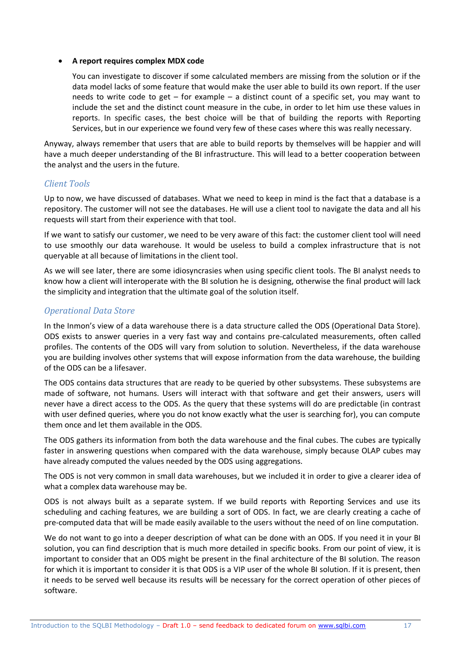#### **A report requires complex MDX code**

You can investigate to discover if some calculated members are missing from the solution or if the data model lacks of some feature that would make the user able to build its own report. If the user needs to write code to get – for example – a distinct count of a specific set, you may want to include the set and the distinct count measure in the cube, in order to let him use these values in reports. In specific cases, the best choice will be that of building the reports with Reporting Services, but in our experience we found very few of these cases where this was really necessary.

Anyway, always remember that users that are able to build reports by themselves will be happier and will have a much deeper understanding of the BI infrastructure. This will lead to a better cooperation between the analyst and the users in the future.

#### *Client Tools*

Up to now, we have discussed of databases. What we need to keep in mind is the fact that a database is a repository. The customer will not see the databases. He will use a client tool to navigate the data and all his requests will start from their experience with that tool.

If we want to satisfy our customer, we need to be very aware of this fact: the customer client tool will need to use smoothly our data warehouse. It would be useless to build a complex infrastructure that is not queryable at all because of limitations in the client tool.

As we will see later, there are some idiosyncrasies when using specific client tools. The BI analyst needs to know how a client will interoperate with the BI solution he is designing, otherwise the final product will lack the simplicity and integration that the ultimate goal of the solution itself.

#### *Operational Data Store*

In the Inmon's view of a data warehouse there is a data structure called the ODS (Operational Data Store). ODS exists to answer queries in a very fast way and contains pre-calculated measurements, often called profiles. The contents of the ODS will vary from solution to solution. Nevertheless, if the data warehouse you are building involves other systems that will expose information from the data warehouse, the building of the ODS can be a lifesaver.

The ODS contains data structures that are ready to be queried by other subsystems. These subsystems are made of software, not humans. Users will interact with that software and get their answers, users will never have a direct access to the ODS. As the query that these systems will do are predictable (in contrast with user defined queries, where you do not know exactly what the user is searching for), you can compute them once and let them available in the ODS.

The ODS gathers its information from both the data warehouse and the final cubes. The cubes are typically faster in answering questions when compared with the data warehouse, simply because OLAP cubes may have already computed the values needed by the ODS using aggregations.

The ODS is not very common in small data warehouses, but we included it in order to give a clearer idea of what a complex data warehouse may be.

ODS is not always built as a separate system. If we build reports with Reporting Services and use its scheduling and caching features, we are building a sort of ODS. In fact, we are clearly creating a cache of pre-computed data that will be made easily available to the users without the need of on line computation.

We do not want to go into a deeper description of what can be done with an ODS. If you need it in your BI solution, you can find description that is much more detailed in specific books. From our point of view, it is important to consider that an ODS might be present in the final architecture of the BI solution. The reason for which it is important to consider it is that ODS is a VIP user of the whole BI solution. If it is present, then it needs to be served well because its results will be necessary for the correct operation of other pieces of software.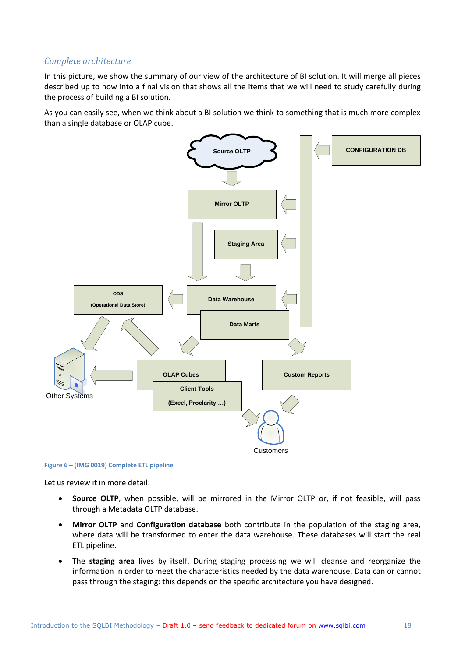#### *Complete architecture*

In this picture, we show the summary of our view of the architecture of BI solution. It will merge all pieces described up to now into a final vision that shows all the items that we will need to study carefully during the process of building a BI solution.

As you can easily see, when we think about a BI solution we think to something that is much more complex than a single database or OLAP cube.



#### **Figure 6 – (IMG 0019) Complete ETL pipeline**

Let us review it in more detail:

- **Source OLTP**, when possible, will be mirrored in the Mirror OLTP or, if not feasible, will pass through a Metadata OLTP database.
- **Mirror OLTP** and **Configuration database** both contribute in the population of the staging area, where data will be transformed to enter the data warehouse. These databases will start the real ETL pipeline.
- The **staging area** lives by itself. During staging processing we will cleanse and reorganize the information in order to meet the characteristics needed by the data warehouse. Data can or cannot pass through the staging: this depends on the specific architecture you have designed.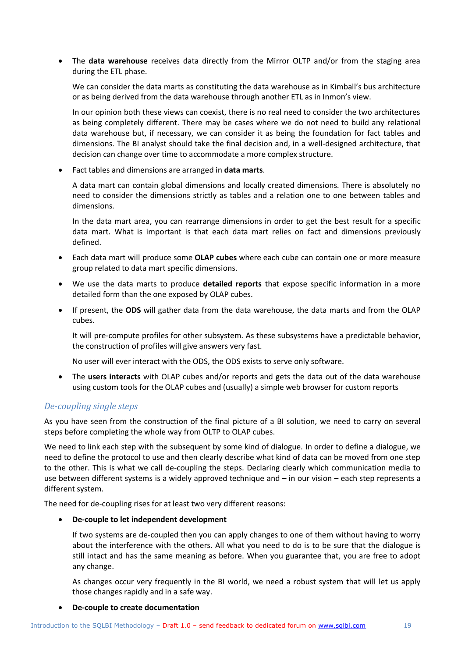The **data warehouse** receives data directly from the Mirror OLTP and/or from the staging area during the ETL phase.

We can consider the data marts as constituting the data warehouse as in Kimball's bus architecture or as being derived from the data warehouse through another ETL as in Inmon's view.

In our opinion both these views can coexist, there is no real need to consider the two architectures as being completely different. There may be cases where we do not need to build any relational data warehouse but, if necessary, we can consider it as being the foundation for fact tables and dimensions. The BI analyst should take the final decision and, in a well-designed architecture, that decision can change over time to accommodate a more complex structure.

Fact tables and dimensions are arranged in **data marts**.

A data mart can contain global dimensions and locally created dimensions. There is absolutely no need to consider the dimensions strictly as tables and a relation one to one between tables and dimensions.

In the data mart area, you can rearrange dimensions in order to get the best result for a specific data mart. What is important is that each data mart relies on fact and dimensions previously defined.

- Each data mart will produce some **OLAP cubes** where each cube can contain one or more measure group related to data mart specific dimensions.
- We use the data marts to produce **detailed reports** that expose specific information in a more detailed form than the one exposed by OLAP cubes.
- If present, the **ODS** will gather data from the data warehouse, the data marts and from the OLAP cubes.

It will pre-compute profiles for other subsystem. As these subsystems have a predictable behavior, the construction of profiles will give answers very fast.

No user will ever interact with the ODS, the ODS exists to serve only software.

 The **users interacts** with OLAP cubes and/or reports and gets the data out of the data warehouse using custom tools for the OLAP cubes and (usually) a simple web browser for custom reports

#### *De-coupling single steps*

As you have seen from the construction of the final picture of a BI solution, we need to carry on several steps before completing the whole way from OLTP to OLAP cubes.

We need to link each step with the subsequent by some kind of dialogue. In order to define a dialogue, we need to define the protocol to use and then clearly describe what kind of data can be moved from one step to the other. This is what we call de-coupling the steps. Declaring clearly which communication media to use between different systems is a widely approved technique and – in our vision – each step represents a different system.

The need for de-coupling rises for at least two very different reasons:

#### **De-couple to let independent development**

If two systems are de-coupled then you can apply changes to one of them without having to worry about the interference with the others. All what you need to do is to be sure that the dialogue is still intact and has the same meaning as before. When you guarantee that, you are free to adopt any change.

As changes occur very frequently in the BI world, we need a robust system that will let us apply those changes rapidly and in a safe way.

#### **De-couple to create documentation**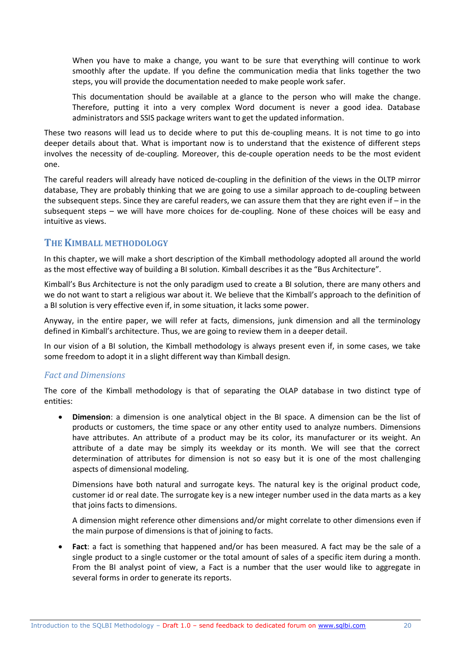When you have to make a change, you want to be sure that everything will continue to work smoothly after the update. If you define the communication media that links together the two steps, you will provide the documentation needed to make people work safer.

This documentation should be available at a glance to the person who will make the change. Therefore, putting it into a very complex Word document is never a good idea. Database administrators and SSIS package writers want to get the updated information.

These two reasons will lead us to decide where to put this de-coupling means. It is not time to go into deeper details about that. What is important now is to understand that the existence of different steps involves the necessity of de-coupling. Moreover, this de-couple operation needs to be the most evident one.

The careful readers will already have noticed de-coupling in the definition of the views in the OLTP mirror database, They are probably thinking that we are going to use a similar approach to de-coupling between the subsequent steps. Since they are careful readers, we can assure them that they are right even if – in the subsequent steps – we will have more choices for de-coupling. None of these choices will be easy and intuitive as views.

#### **THE KIMBALL METHODOLOGY**

In this chapter, we will make a short description of the Kimball methodology adopted all around the world as the most effective way of building a BI solution. Kimball describes it as the "Bus Architecture".

Kimball's Bus Architecture is not the only paradigm used to create a BI solution, there are many others and we do not want to start a religious war about it. We believe that the Kimball's approach to the definition of a BI solution is very effective even if, in some situation, it lacks some power.

Anyway, in the entire paper, we will refer at facts, dimensions, junk dimension and all the terminology defined in Kimball's architecture. Thus, we are going to review them in a deeper detail.

In our vision of a BI solution, the Kimball methodology is always present even if, in some cases, we take some freedom to adopt it in a slight different way than Kimball design.

#### *Fact and Dimensions*

The core of the Kimball methodology is that of separating the OLAP database in two distinct type of entities:

 **Dimension**: a dimension is one analytical object in the BI space. A dimension can be the list of products or customers, the time space or any other entity used to analyze numbers. Dimensions have attributes. An attribute of a product may be its color, its manufacturer or its weight. An attribute of a date may be simply its weekday or its month. We will see that the correct determination of attributes for dimension is not so easy but it is one of the most challenging aspects of dimensional modeling.

Dimensions have both natural and surrogate keys. The natural key is the original product code, customer id or real date. The surrogate key is a new integer number used in the data marts as a key that joins facts to dimensions.

A dimension might reference other dimensions and/or might correlate to other dimensions even if the main purpose of dimensions is that of joining to facts.

 **Fact**: a fact is something that happened and/or has been measured. A fact may be the sale of a single product to a single customer or the total amount of sales of a specific item during a month. From the BI analyst point of view, a Fact is a number that the user would like to aggregate in several forms in order to generate its reports.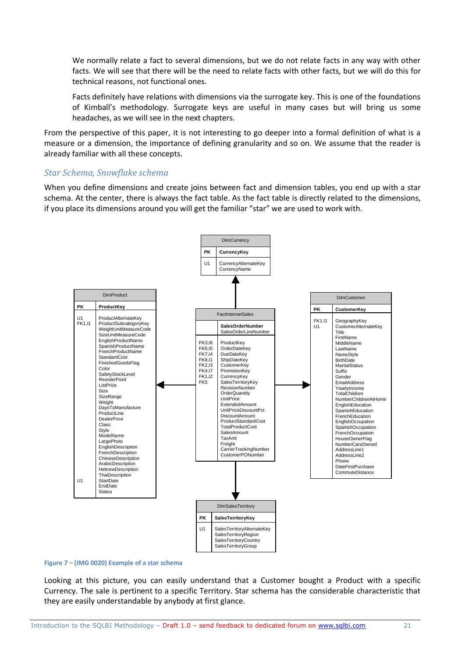We normally relate a fact to several dimensions, but we do not relate facts in any way with other facts. We will see that there will be the need to relate facts with other facts, but we will do this for technical reasons, not functional ones.

Facts definitely have relations with dimensions via the surrogate key. This is one of the foundations of Kimball's methodology. Surrogate keys are useful in many cases but will bring us some headaches, as we will see in the next chapters.

From the perspective of this paper, it is not interesting to go deeper into a formal definition of what is a measure or a dimension, the importance of defining granularity and so on. We assume that the reader is already familiar with all these concepts.

#### *Star Schema, Snowflake schema*

When you define dimensions and create joins between fact and dimension tables, you end up with a star schema. At the center, there is always the fact table. As the fact table is directly related to the dimensions, if you place its dimensions around you will get the familiar "star" we are used to work with.



#### **Figure 7 – (IMG 0020) Example of a star schema**

Looking at this picture, you can easily understand that a Customer bought a Product with a specific Currency. The sale is pertinent to a specific Territory. Star schema has the considerable characteristic that they are easily understandable by anybody at first glance.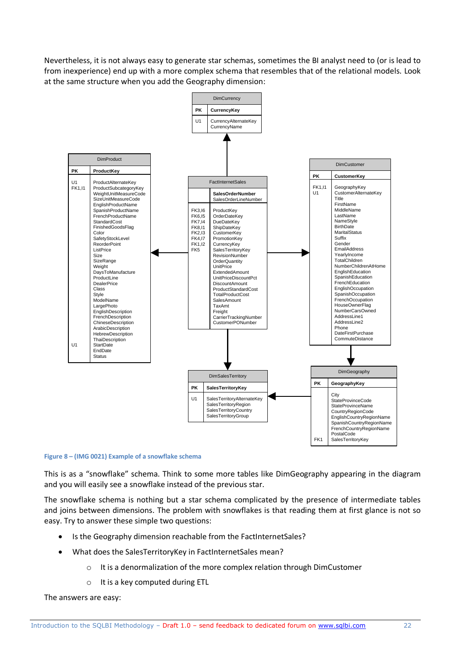Nevertheless, it is not always easy to generate star schemas, sometimes the BI analyst need to (or is lead to from inexperience) end up with a more complex schema that resembles that of the relational models. Look at the same structure when you add the Geography dimension:



#### **Figure 8 – (IMG 0021) Example of a snowflake schema**

This is as a "snowflake" schema. Think to some more tables like DimGeography appearing in the diagram and you will easily see a snowflake instead of the previous star.

The snowflake schema is nothing but a star schema complicated by the presence of intermediate tables and joins between dimensions. The problem with snowflakes is that reading them at first glance is not so easy. Try to answer these simple two questions:

- Is the Geography dimension reachable from the FactInternetSales?
- What does the SalesTerritoryKey in FactInternetSales mean?
	- o It is a denormalization of the more complex relation through DimCustomer
	- o It is a key computed during ETL

The answers are easy: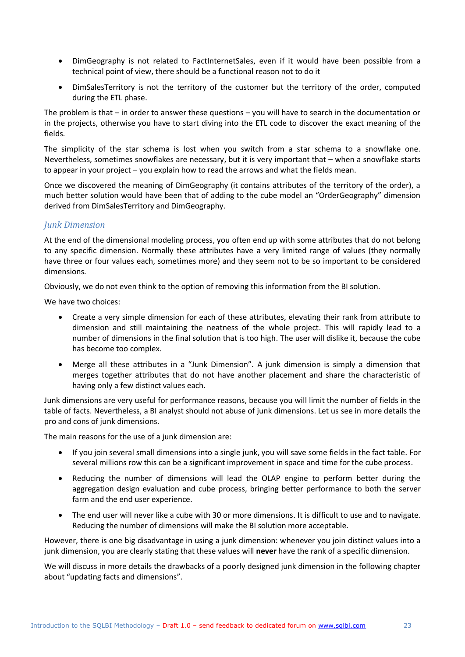- DimGeography is not related to FactInternetSales, even if it would have been possible from a technical point of view, there should be a functional reason not to do it
- DimSalesTerritory is not the territory of the customer but the territory of the order, computed during the ETL phase.

The problem is that – in order to answer these questions – you will have to search in the documentation or in the projects, otherwise you have to start diving into the ETL code to discover the exact meaning of the fields.

The simplicity of the star schema is lost when you switch from a star schema to a snowflake one. Nevertheless, sometimes snowflakes are necessary, but it is very important that – when a snowflake starts to appear in your project – you explain how to read the arrows and what the fields mean.

Once we discovered the meaning of DimGeography (it contains attributes of the territory of the order), a much better solution would have been that of adding to the cube model an "OrderGeography" dimension derived from DimSalesTerritory and DimGeography.

#### *Junk Dimension*

At the end of the dimensional modeling process, you often end up with some attributes that do not belong to any specific dimension. Normally these attributes have a very limited range of values (they normally have three or four values each, sometimes more) and they seem not to be so important to be considered dimensions.

Obviously, we do not even think to the option of removing this information from the BI solution.

We have two choices:

- Create a very simple dimension for each of these attributes, elevating their rank from attribute to dimension and still maintaining the neatness of the whole project. This will rapidly lead to a number of dimensions in the final solution that is too high. The user will dislike it, because the cube has become too complex.
- Merge all these attributes in a "Junk Dimension". A junk dimension is simply a dimension that merges together attributes that do not have another placement and share the characteristic of having only a few distinct values each.

Junk dimensions are very useful for performance reasons, because you will limit the number of fields in the table of facts. Nevertheless, a BI analyst should not abuse of junk dimensions. Let us see in more details the pro and cons of junk dimensions.

The main reasons for the use of a junk dimension are:

- If you join several small dimensions into a single junk, you will save some fields in the fact table. For several millions row this can be a significant improvement in space and time for the cube process.
- Reducing the number of dimensions will lead the OLAP engine to perform better during the aggregation design evaluation and cube process, bringing better performance to both the server farm and the end user experience.
- The end user will never like a cube with 30 or more dimensions. It is difficult to use and to navigate. Reducing the number of dimensions will make the BI solution more acceptable.

However, there is one big disadvantage in using a junk dimension: whenever you join distinct values into a junk dimension, you are clearly stating that these values will **never** have the rank of a specific dimension.

We will discuss in more details the drawbacks of a poorly designed junk dimension in the following chapter about "updating facts and dimensions".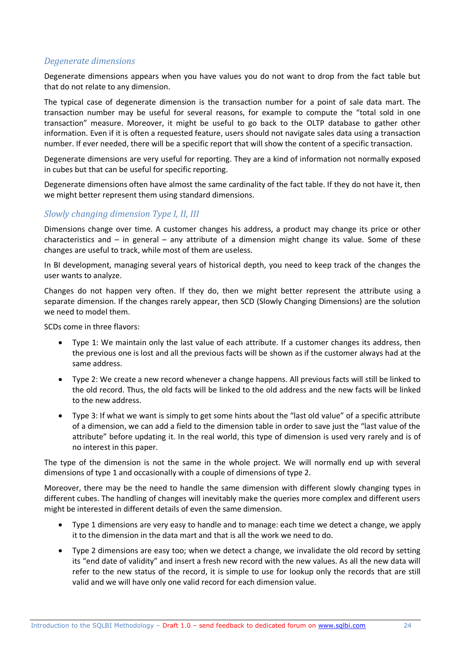#### *Degenerate dimensions*

Degenerate dimensions appears when you have values you do not want to drop from the fact table but that do not relate to any dimension.

The typical case of degenerate dimension is the transaction number for a point of sale data mart. The transaction number may be useful for several reasons, for example to compute the "total sold in one transaction" measure. Moreover, it might be useful to go back to the OLTP database to gather other information. Even if it is often a requested feature, users should not navigate sales data using a transaction number. If ever needed, there will be a specific report that will show the content of a specific transaction.

Degenerate dimensions are very useful for reporting. They are a kind of information not normally exposed in cubes but that can be useful for specific reporting.

Degenerate dimensions often have almost the same cardinality of the fact table. If they do not have it, then we might better represent them using standard dimensions.

#### *Slowly changing dimension Type I, II, III*

Dimensions change over time. A customer changes his address, a product may change its price or other characteristics and – in general – any attribute of a dimension might change its value. Some of these changes are useful to track, while most of them are useless.

In BI development, managing several years of historical depth, you need to keep track of the changes the user wants to analyze.

Changes do not happen very often. If they do, then we might better represent the attribute using a separate dimension. If the changes rarely appear, then SCD (Slowly Changing Dimensions) are the solution we need to model them.

SCDs come in three flavors:

- Type 1: We maintain only the last value of each attribute. If a customer changes its address, then the previous one is lost and all the previous facts will be shown as if the customer always had at the same address.
- Type 2: We create a new record whenever a change happens. All previous facts will still be linked to the old record. Thus, the old facts will be linked to the old address and the new facts will be linked to the new address.
- Type 3: If what we want is simply to get some hints about the "last old value" of a specific attribute of a dimension, we can add a field to the dimension table in order to save just the "last value of the attribute" before updating it. In the real world, this type of dimension is used very rarely and is of no interest in this paper.

The type of the dimension is not the same in the whole project. We will normally end up with several dimensions of type 1 and occasionally with a couple of dimensions of type 2.

Moreover, there may be the need to handle the same dimension with different slowly changing types in different cubes. The handling of changes will inevitably make the queries more complex and different users might be interested in different details of even the same dimension.

- Type 1 dimensions are very easy to handle and to manage: each time we detect a change, we apply it to the dimension in the data mart and that is all the work we need to do.
- Type 2 dimensions are easy too; when we detect a change, we invalidate the old record by setting its "end date of validity" and insert a fresh new record with the new values. As all the new data will refer to the new status of the record, it is simple to use for lookup only the records that are still valid and we will have only one valid record for each dimension value.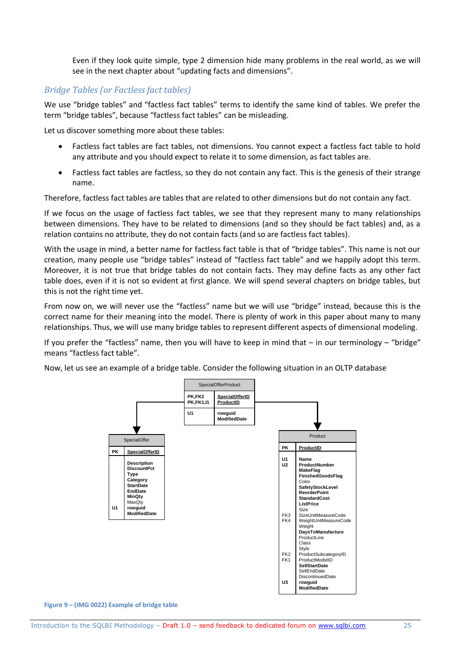Even if they look quite simple, type 2 dimension hide many problems in the real world, as we will see in the next chapter about "updating facts and dimensions".

#### *Bridge Tables (or Factless fact tables)*

We use "bridge tables" and "factless fact tables" terms to identify the same kind of tables. We prefer the term "bridge tables", because "factless fact tables" can be misleading.

Let us discover something more about these tables:

- Factless fact tables are fact tables, not dimensions. You cannot expect a factless fact table to hold any attribute and you should expect to relate it to some dimension, as fact tables are.
- Factless fact tables are factless, so they do not contain any fact. This is the genesis of their strange name.

Therefore, factless fact tables are tables that are related to other dimensions but do not contain any fact.

If we focus on the usage of factless fact tables, we see that they represent many to many relationships between dimensions. They have to be related to dimensions (and so they should be fact tables) and, as a relation contains no attribute, they do not contain facts (and so are factless fact tables).

With the usage in mind, a better name for factless fact table is that of "bridge tables". This name is not our creation, many people use "bridge tables" instead of "factless fact table" and we happily adopt this term. Moreover, it is not true that bridge tables do not contain facts. They may define facts as any other fact table does, even if it is not so evident at first glance. We will spend several chapters on bridge tables, but this is not the right time yet.

From now on, we will never use the "factless" name but we will use "bridge" instead, because this is the correct name for their meaning into the model. There is plenty of work in this paper about many to many relationships. Thus, we will use many bridge tables to represent different aspects of dimensional modeling.

If you prefer the "factless" name, then you will have to keep in mind that  $-$  in our terminology  $-$  "bridge" means "factless fact table".

Now, let us see an example of a bridge table. Consider the following situation in an OLTP database

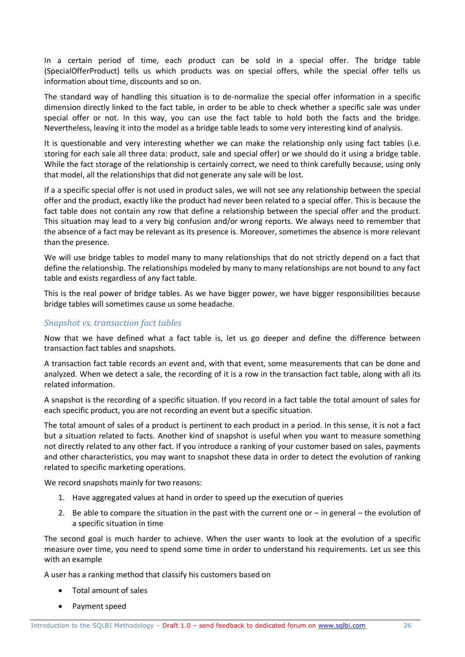In a certain period of time, each product can be sold in a special offer. The bridge table (SpecialOfferProduct) tells us which products was on special offers, while the special offer tells us information about time, discounts and so on.

The standard way of handling this situation is to de-normalize the special offer information in a specific dimension directly linked to the fact table, in order to be able to check whether a specific sale was under special offer or not. In this way, you can use the fact table to hold both the facts and the bridge. Nevertheless, leaving it into the model as a bridge table leads to some very interesting kind of analysis.

It is questionable and very interesting whether we can make the relationship only using fact tables (i.e. storing for each sale all three data: product, sale and special offer) or we should do it using a bridge table. While the fact storage of the relationship is certainly correct, we need to think carefully because, using only that model, all the relationships that did not generate any sale will be lost.

If a a specific special offer is not used in product sales, we will not see any relationship between the special offer and the product, exactly like the product had never been related to a special offer. This is because the fact table does not contain any row that define a relationship between the special offer and the product. This situation may lead to a very big confusion and/or wrong reports. We always need to remember that the absence of a fact may be relevant as its presence is. Moreover, sometimes the absence is more relevant than the presence.

We will use bridge tables to model many to many relationships that do not strictly depend on a fact that define the relationship. The relationships modeled by many to many relationships are not bound to any fact table and exists regardless of any fact table.

This is the real power of bridge tables. As we have bigger power, we have bigger responsibilities because bridge tables will sometimes cause us some headache.

#### *Snapshot vs. transaction fact tables*

Now that we have defined what a fact table is, let us go deeper and define the difference between transaction fact tables and snapshots.

A transaction fact table records an event and, with that event, some measurements that can be done and analyzed. When we detect a sale, the recording of it is a row in the transaction fact table, along with all its related information.

A snapshot is the recording of a specific situation. If you record in a fact table the total amount of sales for each specific product, you are not recording an event but a specific situation.

The total amount of sales of a product is pertinent to each product in a period. In this sense, it is not a fact but a situation related to facts. Another kind of snapshot is useful when you want to measure something not directly related to any other fact. If you introduce a ranking of your customer based on sales, payments and other characteristics, you may want to snapshot these data in order to detect the evolution of ranking related to specific marketing operations.

We record snapshots mainly for two reasons:

- 1. Have aggregated values at hand in order to speed up the execution of queries
- 2. Be able to compare the situation in the past with the current one or  $-$  in general  $-$  the evolution of a specific situation in time

The second goal is much harder to achieve. When the user wants to look at the evolution of a specific measure over time, you need to spend some time in order to understand his requirements. Let us see this with an example

A user has a ranking method that classify his customers based on

- Total amount of sales
- Payment speed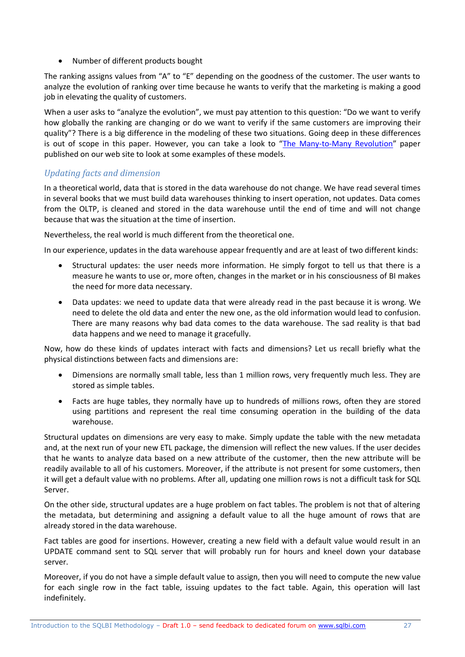• Number of different products bought

The ranking assigns values from "A" to "E" depending on the goodness of the customer. The user wants to analyze the evolution of ranking over time because he wants to verify that the marketing is making a good job in elevating the quality of customers.

When a user asks to "analyze the evolution", we must pay attention to this question: "Do we want to verify how globally the ranking are changing or do we want to verify if the same customers are improving their quality"? There is a big difference in the modeling of these two situations. Going deep in these differences is out of scope in this paper. However, you can take a look to "[The Many-to-Many Revolution](http://www.sqlbi.eu/manytomany.aspx)" paper published on our web site to look at some examples of these models.

#### *Updating facts and dimension*

In a theoretical world, data that is stored in the data warehouse do not change. We have read several times in several books that we must build data warehouses thinking to insert operation, not updates. Data comes from the OLTP, is cleaned and stored in the data warehouse until the end of time and will not change because that was the situation at the time of insertion.

Nevertheless, the real world is much different from the theoretical one.

In our experience, updates in the data warehouse appear frequently and are at least of two different kinds:

- Structural updates: the user needs more information. He simply forgot to tell us that there is a measure he wants to use or, more often, changes in the market or in his consciousness of BI makes the need for more data necessary.
- Data updates: we need to update data that were already read in the past because it is wrong. We need to delete the old data and enter the new one, as the old information would lead to confusion. There are many reasons why bad data comes to the data warehouse. The sad reality is that bad data happens and we need to manage it gracefully.

Now, how do these kinds of updates interact with facts and dimensions? Let us recall briefly what the physical distinctions between facts and dimensions are:

- Dimensions are normally small table, less than 1 million rows, very frequently much less. They are stored as simple tables.
- Facts are huge tables, they normally have up to hundreds of millions rows, often they are stored using partitions and represent the real time consuming operation in the building of the data warehouse.

Structural updates on dimensions are very easy to make. Simply update the table with the new metadata and, at the next run of your new ETL package, the dimension will reflect the new values. If the user decides that he wants to analyze data based on a new attribute of the customer, then the new attribute will be readily available to all of his customers. Moreover, if the attribute is not present for some customers, then it will get a default value with no problems. After all, updating one million rows is not a difficult task for SQL Server.

On the other side, structural updates are a huge problem on fact tables. The problem is not that of altering the metadata, but determining and assigning a default value to all the huge amount of rows that are already stored in the data warehouse.

Fact tables are good for insertions. However, creating a new field with a default value would result in an UPDATE command sent to SQL server that will probably run for hours and kneel down your database server.

Moreover, if you do not have a simple default value to assign, then you will need to compute the new value for each single row in the fact table, issuing updates to the fact table. Again, this operation will last indefinitely.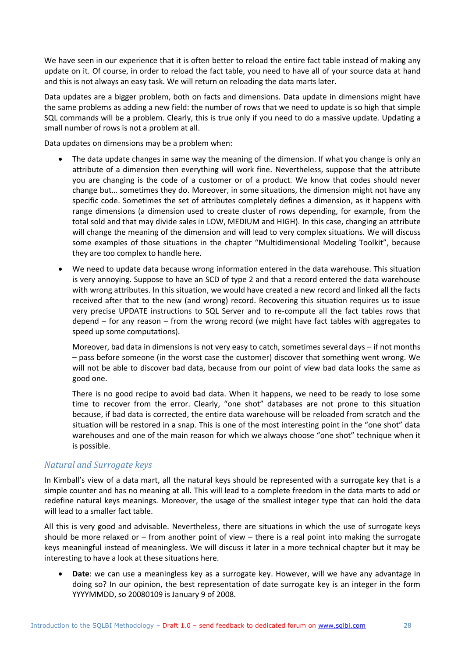We have seen in our experience that it is often better to reload the entire fact table instead of making any update on it. Of course, in order to reload the fact table, you need to have all of your source data at hand and this is not always an easy task. We will return on reloading the data marts later.

Data updates are a bigger problem, both on facts and dimensions. Data update in dimensions might have the same problems as adding a new field: the number of rows that we need to update is so high that simple SQL commands will be a problem. Clearly, this is true only if you need to do a massive update. Updating a small number of rows is not a problem at all.

Data updates on dimensions may be a problem when:

- The data update changes in same way the meaning of the dimension. If what you change is only an attribute of a dimension then everything will work fine. Nevertheless, suppose that the attribute you are changing is the code of a customer or of a product. We know that codes should never change but… sometimes they do. Moreover, in some situations, the dimension might not have any specific code. Sometimes the set of attributes completely defines a dimension, as it happens with range dimensions (a dimension used to create cluster of rows depending, for example, from the total sold and that may divide sales in LOW, MEDIUM and HIGH). In this case, changing an attribute will change the meaning of the dimension and will lead to very complex situations. We will discuss some examples of those situations in the chapter "Multidimensional Modeling Toolkit", because they are too complex to handle here.
- We need to update data because wrong information entered in the data warehouse. This situation is very annoying. Suppose to have an SCD of type 2 and that a record entered the data warehouse with wrong attributes. In this situation, we would have created a new record and linked all the facts received after that to the new (and wrong) record. Recovering this situation requires us to issue very precise UPDATE instructions to SQL Server and to re-compute all the fact tables rows that depend – for any reason – from the wrong record (we might have fact tables with aggregates to speed up some computations).

Moreover, bad data in dimensions is not very easy to catch, sometimes several days – if not months – pass before someone (in the worst case the customer) discover that something went wrong. We will not be able to discover bad data, because from our point of view bad data looks the same as good one.

There is no good recipe to avoid bad data. When it happens, we need to be ready to lose some time to recover from the error. Clearly, "one shot" databases are not prone to this situation because, if bad data is corrected, the entire data warehouse will be reloaded from scratch and the situation will be restored in a snap. This is one of the most interesting point in the "one shot" data warehouses and one of the main reason for which we always choose "one shot" technique when it is possible.

#### *Natural and Surrogate keys*

In Kimball's view of a data mart, all the natural keys should be represented with a surrogate key that is a simple counter and has no meaning at all. This will lead to a complete freedom in the data marts to add or redefine natural keys meanings. Moreover, the usage of the smallest integer type that can hold the data will lead to a smaller fact table.

All this is very good and advisable. Nevertheless, there are situations in which the use of surrogate keys should be more relaxed or – from another point of view – there is a real point into making the surrogate keys meaningful instead of meaningless. We will discuss it later in a more technical chapter but it may be interesting to have a look at these situations here.

 **Date**: we can use a meaningless key as a surrogate key. However, will we have any advantage in doing so? In our opinion, the best representation of date surrogate key is an integer in the form YYYYMMDD, so 20080109 is January 9 of 2008.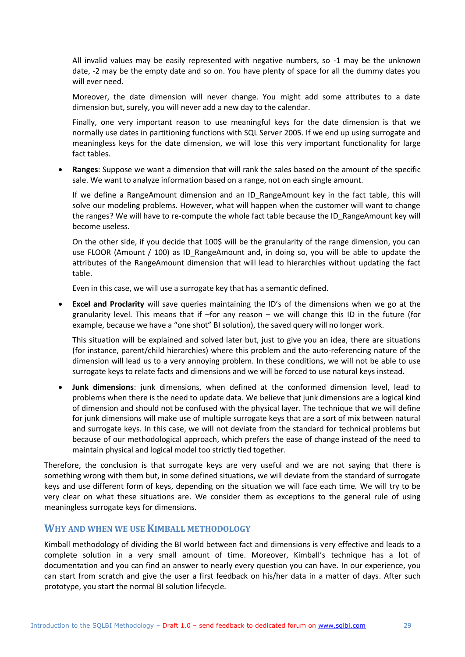All invalid values may be easily represented with negative numbers, so -1 may be the unknown date, -2 may be the empty date and so on. You have plenty of space for all the dummy dates you will ever need.

Moreover, the date dimension will never change. You might add some attributes to a date dimension but, surely, you will never add a new day to the calendar.

Finally, one very important reason to use meaningful keys for the date dimension is that we normally use dates in partitioning functions with SQL Server 2005. If we end up using surrogate and meaningless keys for the date dimension, we will lose this very important functionality for large fact tables.

 **Ranges**: Suppose we want a dimension that will rank the sales based on the amount of the specific sale. We want to analyze information based on a range, not on each single amount.

If we define a RangeAmount dimension and an ID RangeAmount key in the fact table, this will solve our modeling problems. However, what will happen when the customer will want to change the ranges? We will have to re-compute the whole fact table because the ID\_RangeAmount key will become useless.

On the other side, if you decide that 100\$ will be the granularity of the range dimension, you can use FLOOR (Amount / 100) as ID\_RangeAmount and, in doing so, you will be able to update the attributes of the RangeAmount dimension that will lead to hierarchies without updating the fact table.

Even in this case, we will use a surrogate key that has a semantic defined.

 **Excel and Proclarity** will save queries maintaining the ID's of the dimensions when we go at the granularity level. This means that if –for any reason – we will change this ID in the future (for example, because we have a "one shot" BI solution), the saved query will no longer work.

This situation will be explained and solved later but, just to give you an idea, there are situations (for instance, parent/child hierarchies) where this problem and the auto-referencing nature of the dimension will lead us to a very annoying problem. In these conditions, we will not be able to use surrogate keys to relate facts and dimensions and we will be forced to use natural keys instead.

 **Junk dimensions**: junk dimensions, when defined at the conformed dimension level, lead to problems when there is the need to update data. We believe that junk dimensions are a logical kind of dimension and should not be confused with the physical layer. The technique that we will define for junk dimensions will make use of multiple surrogate keys that are a sort of mix between natural and surrogate keys. In this case, we will not deviate from the standard for technical problems but because of our methodological approach, which prefers the ease of change instead of the need to maintain physical and logical model too strictly tied together.

Therefore, the conclusion is that surrogate keys are very useful and we are not saying that there is something wrong with them but, in some defined situations, we will deviate from the standard of surrogate keys and use different form of keys, depending on the situation we will face each time. We will try to be very clear on what these situations are. We consider them as exceptions to the general rule of using meaningless surrogate keys for dimensions.

#### **WHY AND WHEN WE USE KIMBALL METHODOLOGY**

Kimball methodology of dividing the BI world between fact and dimensions is very effective and leads to a complete solution in a very small amount of time. Moreover, Kimball's technique has a lot of documentation and you can find an answer to nearly every question you can have. In our experience, you can start from scratch and give the user a first feedback on his/her data in a matter of days. After such prototype, you start the normal BI solution lifecycle.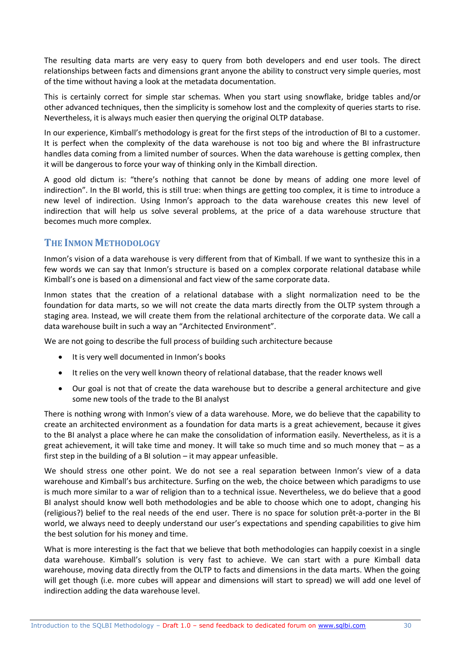The resulting data marts are very easy to query from both developers and end user tools. The direct relationships between facts and dimensions grant anyone the ability to construct very simple queries, most of the time without having a look at the metadata documentation.

This is certainly correct for simple star schemas. When you start using snowflake, bridge tables and/or other advanced techniques, then the simplicity is somehow lost and the complexity of queries starts to rise. Nevertheless, it is always much easier then querying the original OLTP database.

In our experience, Kimball's methodology is great for the first steps of the introduction of BI to a customer. It is perfect when the complexity of the data warehouse is not too big and where the BI infrastructure handles data coming from a limited number of sources. When the data warehouse is getting complex, then it will be dangerous to force your way of thinking only in the Kimball direction.

A good old dictum is: "there's nothing that cannot be done by means of adding one more level of indirection". In the BI world, this is still true: when things are getting too complex, it is time to introduce a new level of indirection. Using Inmon's approach to the data warehouse creates this new level of indirection that will help us solve several problems, at the price of a data warehouse structure that becomes much more complex.

#### **THE INMON METHODOLOGY**

Inmon's vision of a data warehouse is very different from that of Kimball. If we want to synthesize this in a few words we can say that Inmon's structure is based on a complex corporate relational database while Kimball's one is based on a dimensional and fact view of the same corporate data.

Inmon states that the creation of a relational database with a slight normalization need to be the foundation for data marts, so we will not create the data marts directly from the OLTP system through a staging area. Instead, we will create them from the relational architecture of the corporate data. We call a data warehouse built in such a way an "Architected Environment".

We are not going to describe the full process of building such architecture because

- $\bullet$  It is very well documented in Inmon's books
- It relies on the very well known theory of relational database, that the reader knows well
- Our goal is not that of create the data warehouse but to describe a general architecture and give some new tools of the trade to the BI analyst

There is nothing wrong with Inmon's view of a data warehouse. More, we do believe that the capability to create an architected environment as a foundation for data marts is a great achievement, because it gives to the BI analyst a place where he can make the consolidation of information easily. Nevertheless, as it is a great achievement, it will take time and money. It will take so much time and so much money that – as a first step in the building of a BI solution – it may appear unfeasible.

We should stress one other point. We do not see a real separation between Inmon's view of a data warehouse and Kimball's bus architecture. Surfing on the web, the choice between which paradigms to use is much more similar to a war of religion than to a technical issue. Nevertheless, we do believe that a good BI analyst should know well both methodologies and be able to choose which one to adopt, changing his (religious?) belief to the real needs of the end user. There is no space for solution prêt-a-porter in the BI world, we always need to deeply understand our user's expectations and spending capabilities to give him the best solution for his money and time.

What is more interesting is the fact that we believe that both methodologies can happily coexist in a single data warehouse. Kimball's solution is very fast to achieve. We can start with a pure Kimball data warehouse, moving data directly from the OLTP to facts and dimensions in the data marts. When the going will get though (i.e. more cubes will appear and dimensions will start to spread) we will add one level of indirection adding the data warehouse level.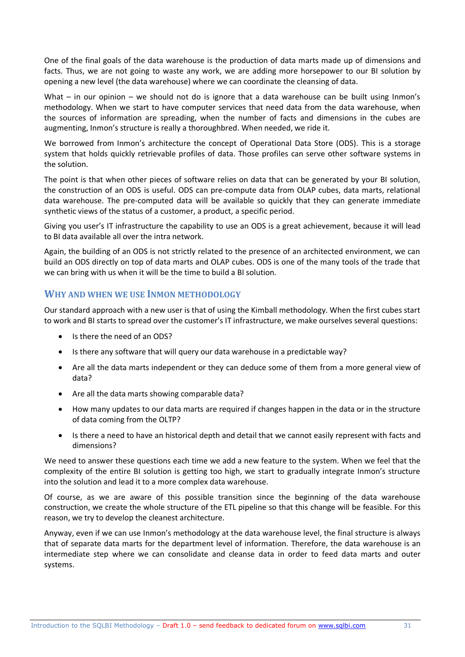One of the final goals of the data warehouse is the production of data marts made up of dimensions and facts. Thus, we are not going to waste any work, we are adding more horsepower to our BI solution by opening a new level (the data warehouse) where we can coordinate the cleansing of data.

What – in our opinion – we should not do is ignore that a data warehouse can be built using Inmon's methodology. When we start to have computer services that need data from the data warehouse, when the sources of information are spreading, when the number of facts and dimensions in the cubes are augmenting, Inmon's structure is really a thoroughbred. When needed, we ride it.

We borrowed from Inmon's architecture the concept of Operational Data Store (ODS). This is a storage system that holds quickly retrievable profiles of data. Those profiles can serve other software systems in the solution.

The point is that when other pieces of software relies on data that can be generated by your BI solution, the construction of an ODS is useful. ODS can pre-compute data from OLAP cubes, data marts, relational data warehouse. The pre-computed data will be available so quickly that they can generate immediate synthetic views of the status of a customer, a product, a specific period.

Giving you user's IT infrastructure the capability to use an ODS is a great achievement, because it will lead to BI data available all over the intra network.

Again, the building of an ODS is not strictly related to the presence of an architected environment, we can build an ODS directly on top of data marts and OLAP cubes. ODS is one of the many tools of the trade that we can bring with us when it will be the time to build a BI solution.

#### **WHY AND WHEN WE USE INMON METHODOLOGY**

Our standard approach with a new user is that of using the Kimball methodology. When the first cubes start to work and BI starts to spread over the customer's IT infrastructure, we make ourselves several questions:

- Is there the need of an ODS?
- Is there any software that will query our data warehouse in a predictable way?
- Are all the data marts independent or they can deduce some of them from a more general view of data?
- Are all the data marts showing comparable data?
- How many updates to our data marts are required if changes happen in the data or in the structure of data coming from the OLTP?
- Is there a need to have an historical depth and detail that we cannot easily represent with facts and dimensions?

We need to answer these questions each time we add a new feature to the system. When we feel that the complexity of the entire BI solution is getting too high, we start to gradually integrate Inmon's structure into the solution and lead it to a more complex data warehouse.

Of course, as we are aware of this possible transition since the beginning of the data warehouse construction, we create the whole structure of the ETL pipeline so that this change will be feasible. For this reason, we try to develop the cleanest architecture.

Anyway, even if we can use Inmon's methodology at the data warehouse level, the final structure is always that of separate data marts for the department level of information. Therefore, the data warehouse is an intermediate step where we can consolidate and cleanse data in order to feed data marts and outer systems.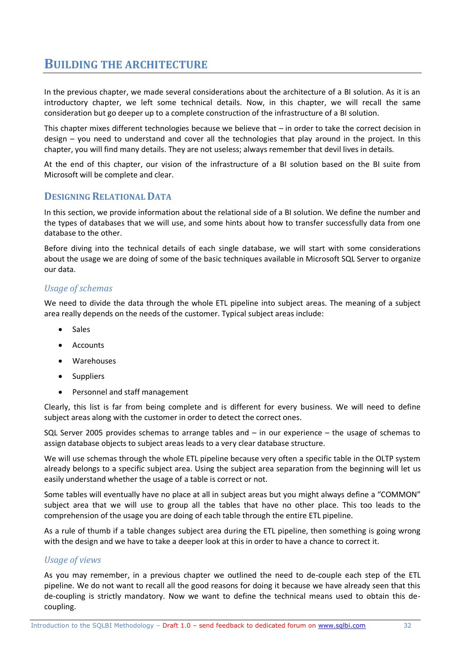## **BUILDING THE ARCHITECTURE**

In the previous chapter, we made several considerations about the architecture of a BI solution. As it is an introductory chapter, we left some technical details. Now, in this chapter, we will recall the same consideration but go deeper up to a complete construction of the infrastructure of a BI solution.

This chapter mixes different technologies because we believe that – in order to take the correct decision in design – you need to understand and cover all the technologies that play around in the project. In this chapter, you will find many details. They are not useless; always remember that devil lives in details.

At the end of this chapter, our vision of the infrastructure of a BI solution based on the BI suite from Microsoft will be complete and clear.

#### **DESIGNING RELATIONAL DATA**

In this section, we provide information about the relational side of a BI solution. We define the number and the types of databases that we will use, and some hints about how to transfer successfully data from one database to the other.

Before diving into the technical details of each single database, we will start with some considerations about the usage we are doing of some of the basic techniques available in Microsoft SQL Server to organize our data.

#### *Usage of schemas*

We need to divide the data through the whole ETL pipeline into subject areas. The meaning of a subject area really depends on the needs of the customer. Typical subject areas include:

- Sales
- Accounts
- Warehouses
- Suppliers
- Personnel and staff management

Clearly, this list is far from being complete and is different for every business. We will need to define subject areas along with the customer in order to detect the correct ones.

SQL Server 2005 provides schemas to arrange tables and – in our experience – the usage of schemas to assign database objects to subject areas leads to a very clear database structure.

We will use schemas through the whole ETL pipeline because very often a specific table in the OLTP system already belongs to a specific subject area. Using the subject area separation from the beginning will let us easily understand whether the usage of a table is correct or not.

Some tables will eventually have no place at all in subject areas but you might always define a "COMMON" subject area that we will use to group all the tables that have no other place. This too leads to the comprehension of the usage you are doing of each table through the entire ETL pipeline.

As a rule of thumb if a table changes subject area during the ETL pipeline, then something is going wrong with the design and we have to take a deeper look at this in order to have a chance to correct it.

#### *Usage of views*

As you may remember, in a previous chapter we outlined the need to de-couple each step of the ETL pipeline. We do not want to recall all the good reasons for doing it because we have already seen that this de-coupling is strictly mandatory. Now we want to define the technical means used to obtain this decoupling.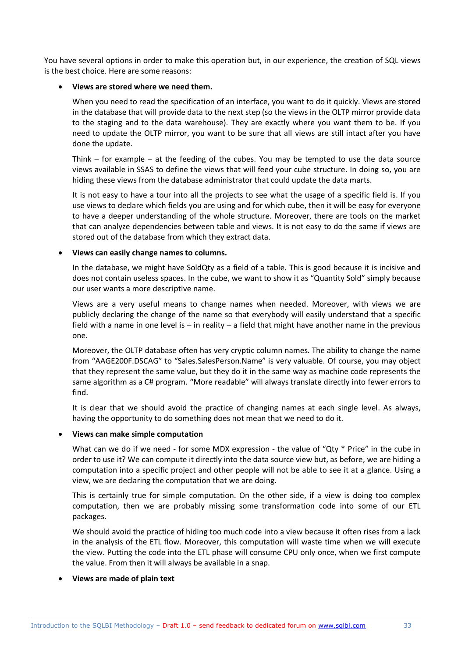You have several options in order to make this operation but, in our experience, the creation of SQL views is the best choice. Here are some reasons:

#### **Views are stored where we need them.**

When you need to read the specification of an interface, you want to do it quickly. Views are stored in the database that will provide data to the next step (so the views in the OLTP mirror provide data to the staging and to the data warehouse). They are exactly where you want them to be. If you need to update the OLTP mirror, you want to be sure that all views are still intact after you have done the update.

Think – for example – at the feeding of the cubes. You may be tempted to use the data source views available in SSAS to define the views that will feed your cube structure. In doing so, you are hiding these views from the database administrator that could update the data marts.

It is not easy to have a tour into all the projects to see what the usage of a specific field is. If you use views to declare which fields you are using and for which cube, then it will be easy for everyone to have a deeper understanding of the whole structure. Moreover, there are tools on the market that can analyze dependencies between table and views. It is not easy to do the same if views are stored out of the database from which they extract data.

#### **Views can easily change names to columns.**

In the database, we might have SoldQty as a field of a table. This is good because it is incisive and does not contain useless spaces. In the cube, we want to show it as "Quantity Sold" simply because our user wants a more descriptive name.

Views are a very useful means to change names when needed. Moreover, with views we are publicly declaring the change of the name so that everybody will easily understand that a specific field with a name in one level is – in reality – a field that might have another name in the previous one.

Moreover, the OLTP database often has very cryptic column names. The ability to change the name from "AAGE200F.DSCAG" to "Sales.SalesPerson.Name" is very valuable. Of course, you may object that they represent the same value, but they do it in the same way as machine code represents the same algorithm as a C# program. "More readable" will always translate directly into fewer errors to find.

It is clear that we should avoid the practice of changing names at each single level. As always, having the opportunity to do something does not mean that we need to do it.

#### **Views can make simple computation**

What can we do if we need - for some MDX expression - the value of "Qty \* Price" in the cube in order to use it? We can compute it directly into the data source view but, as before, we are hiding a computation into a specific project and other people will not be able to see it at a glance. Using a view, we are declaring the computation that we are doing.

This is certainly true for simple computation. On the other side, if a view is doing too complex computation, then we are probably missing some transformation code into some of our ETL packages.

We should avoid the practice of hiding too much code into a view because it often rises from a lack in the analysis of the ETL flow. Moreover, this computation will waste time when we will execute the view. Putting the code into the ETL phase will consume CPU only once, when we first compute the value. From then it will always be available in a snap.

#### **Views are made of plain text**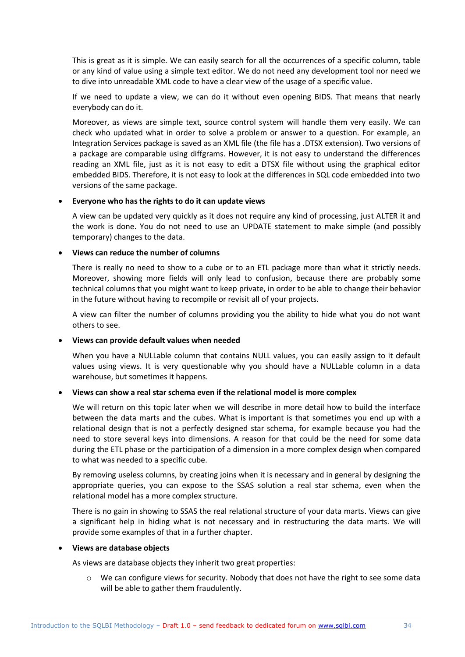This is great as it is simple. We can easily search for all the occurrences of a specific column, table or any kind of value using a simple text editor. We do not need any development tool nor need we to dive into unreadable XML code to have a clear view of the usage of a specific value.

If we need to update a view, we can do it without even opening BIDS. That means that nearly everybody can do it.

Moreover, as views are simple text, source control system will handle them very easily. We can check who updated what in order to solve a problem or answer to a question. For example, an Integration Services package is saved as an XML file (the file has a .DTSX extension). Two versions of a package are comparable using diffgrams. However, it is not easy to understand the differences reading an XML file, just as it is not easy to edit a DTSX file without using the graphical editor embedded BIDS. Therefore, it is not easy to look at the differences in SQL code embedded into two versions of the same package.

#### **Everyone who has the rights to do it can update views**

A view can be updated very quickly as it does not require any kind of processing, just ALTER it and the work is done. You do not need to use an UPDATE statement to make simple (and possibly temporary) changes to the data.

#### **Views can reduce the number of columns**

There is really no need to show to a cube or to an ETL package more than what it strictly needs. Moreover, showing more fields will only lead to confusion, because there are probably some technical columns that you might want to keep private, in order to be able to change their behavior in the future without having to recompile or revisit all of your projects.

A view can filter the number of columns providing you the ability to hide what you do not want others to see.

#### **Views can provide default values when needed**

When you have a NULLable column that contains NULL values, you can easily assign to it default values using views. It is very questionable why you should have a NULLable column in a data warehouse, but sometimes it happens.

#### **Views can show a real star schema even if the relational model is more complex**

We will return on this topic later when we will describe in more detail how to build the interface between the data marts and the cubes. What is important is that sometimes you end up with a relational design that is not a perfectly designed star schema, for example because you had the need to store several keys into dimensions. A reason for that could be the need for some data during the ETL phase or the participation of a dimension in a more complex design when compared to what was needed to a specific cube.

By removing useless columns, by creating joins when it is necessary and in general by designing the appropriate queries, you can expose to the SSAS solution a real star schema, even when the relational model has a more complex structure.

There is no gain in showing to SSAS the real relational structure of your data marts. Views can give a significant help in hiding what is not necessary and in restructuring the data marts. We will provide some examples of that in a further chapter.

#### **Views are database objects**

As views are database objects they inherit two great properties:

o We can configure views for security. Nobody that does not have the right to see some data will be able to gather them fraudulently.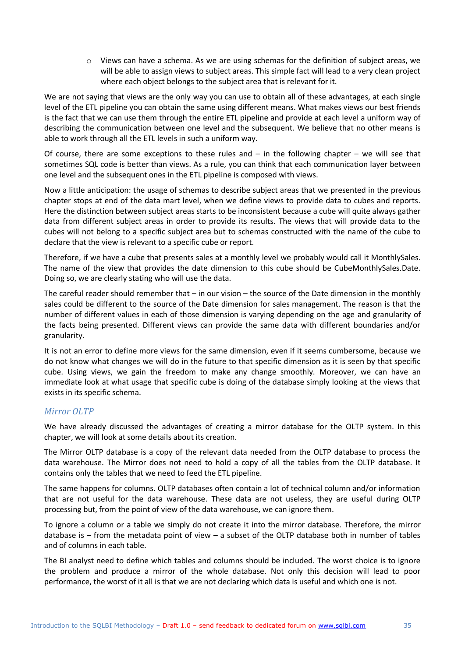o Views can have a schema. As we are using schemas for the definition of subject areas, we will be able to assign views to subject areas. This simple fact will lead to a very clean project where each object belongs to the subject area that is relevant for it.

We are not saying that views are the only way you can use to obtain all of these advantages, at each single level of the ETL pipeline you can obtain the same using different means. What makes views our best friends is the fact that we can use them through the entire ETL pipeline and provide at each level a uniform way of describing the communication between one level and the subsequent. We believe that no other means is able to work through all the ETL levels in such a uniform way.

Of course, there are some exceptions to these rules and  $-$  in the following chapter  $-$  we will see that sometimes SQL code is better than views. As a rule, you can think that each communication layer between one level and the subsequent ones in the ETL pipeline is composed with views.

Now a little anticipation: the usage of schemas to describe subject areas that we presented in the previous chapter stops at end of the data mart level, when we define views to provide data to cubes and reports. Here the distinction between subject areas starts to be inconsistent because a cube will quite always gather data from different subject areas in order to provide its results. The views that will provide data to the cubes will not belong to a specific subject area but to schemas constructed with the name of the cube to declare that the view is relevant to a specific cube or report.

Therefore, if we have a cube that presents sales at a monthly level we probably would call it MonthlySales. The name of the view that provides the date dimension to this cube should be CubeMonthlySales.Date. Doing so, we are clearly stating who will use the data.

The careful reader should remember that – in our vision – the source of the Date dimension in the monthly sales could be different to the source of the Date dimension for sales management. The reason is that the number of different values in each of those dimension is varying depending on the age and granularity of the facts being presented. Different views can provide the same data with different boundaries and/or granularity.

It is not an error to define more views for the same dimension, even if it seems cumbersome, because we do not know what changes we will do in the future to that specific dimension as it is seen by that specific cube. Using views, we gain the freedom to make any change smoothly. Moreover, we can have an immediate look at what usage that specific cube is doing of the database simply looking at the views that exists in its specific schema.

#### *Mirror OLTP*

We have already discussed the advantages of creating a mirror database for the OLTP system. In this chapter, we will look at some details about its creation.

The Mirror OLTP database is a copy of the relevant data needed from the OLTP database to process the data warehouse. The Mirror does not need to hold a copy of all the tables from the OLTP database. It contains only the tables that we need to feed the ETL pipeline.

The same happens for columns. OLTP databases often contain a lot of technical column and/or information that are not useful for the data warehouse. These data are not useless, they are useful during OLTP processing but, from the point of view of the data warehouse, we can ignore them.

To ignore a column or a table we simply do not create it into the mirror database. Therefore, the mirror database is – from the metadata point of view – a subset of the OLTP database both in number of tables and of columns in each table.

The BI analyst need to define which tables and columns should be included. The worst choice is to ignore the problem and produce a mirror of the whole database. Not only this decision will lead to poor performance, the worst of it all is that we are not declaring which data is useful and which one is not.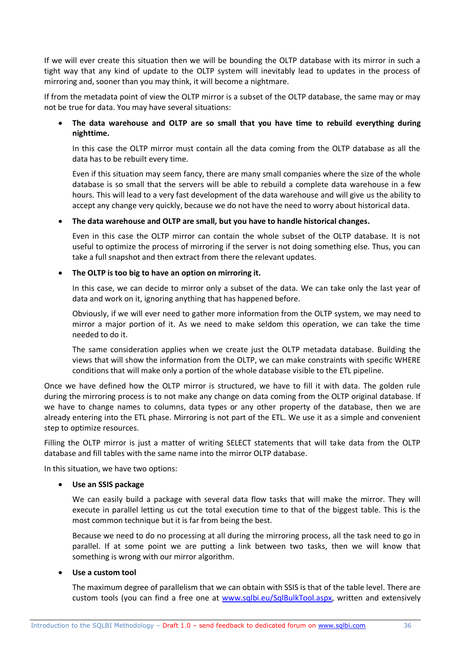If we will ever create this situation then we will be bounding the OLTP database with its mirror in such a tight way that any kind of update to the OLTP system will inevitably lead to updates in the process of mirroring and, sooner than you may think, it will become a nightmare.

If from the metadata point of view the OLTP mirror is a subset of the OLTP database, the same may or may not be true for data. You may have several situations:

#### **The data warehouse and OLTP are so small that you have time to rebuild everything during nighttime.**

In this case the OLTP mirror must contain all the data coming from the OLTP database as all the data has to be rebuilt every time.

Even if this situation may seem fancy, there are many small companies where the size of the whole database is so small that the servers will be able to rebuild a complete data warehouse in a few hours. This will lead to a very fast development of the data warehouse and will give us the ability to accept any change very quickly, because we do not have the need to worry about historical data.

#### **The data warehouse and OLTP are small, but you have to handle historical changes.**

Even in this case the OLTP mirror can contain the whole subset of the OLTP database. It is not useful to optimize the process of mirroring if the server is not doing something else. Thus, you can take a full snapshot and then extract from there the relevant updates.

#### **The OLTP is too big to have an option on mirroring it.**

In this case, we can decide to mirror only a subset of the data. We can take only the last year of data and work on it, ignoring anything that has happened before.

Obviously, if we will ever need to gather more information from the OLTP system, we may need to mirror a major portion of it. As we need to make seldom this operation, we can take the time needed to do it.

The same consideration applies when we create just the OLTP metadata database. Building the views that will show the information from the OLTP, we can make constraints with specific WHERE conditions that will make only a portion of the whole database visible to the ETL pipeline.

Once we have defined how the OLTP mirror is structured, we have to fill it with data. The golden rule during the mirroring process is to not make any change on data coming from the OLTP original database. If we have to change names to columns, data types or any other property of the database, then we are already entering into the ETL phase. Mirroring is not part of the ETL. We use it as a simple and convenient step to optimize resources.

Filling the OLTP mirror is just a matter of writing SELECT statements that will take data from the OLTP database and fill tables with the same name into the mirror OLTP database.

In this situation, we have two options:

#### **Use an SSIS package**

We can easily build a package with several data flow tasks that will make the mirror. They will execute in parallel letting us cut the total execution time to that of the biggest table. This is the most common technique but it is far from being the best.

Because we need to do no processing at all during the mirroring process, all the task need to go in parallel. If at some point we are putting a link between two tasks, then we will know that something is wrong with our mirror algorithm.

#### **Use a custom tool**

The maximum degree of parallelism that we can obtain with SSIS is that of the table level. There are custom tools (you can find a free one at [www.sqlbi.eu/SqlBulkTool.aspx,](http://www.sqlbi.eu/SqlBulkTool.aspx) written and extensively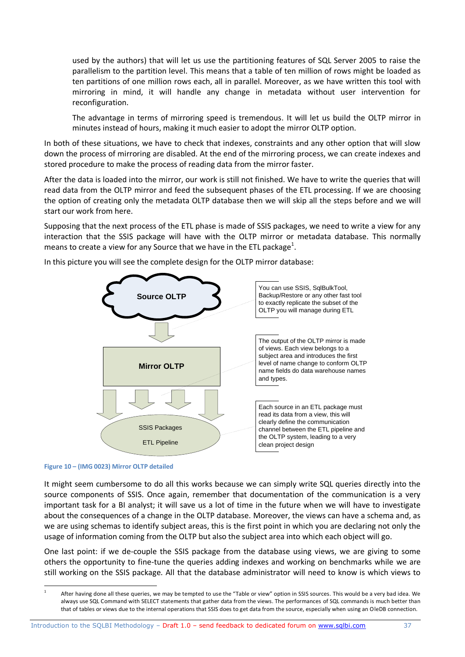used by the authors) that will let us use the partitioning features of SQL Server 2005 to raise the parallelism to the partition level. This means that a table of ten million of rows might be loaded as ten partitions of one million rows each, all in parallel. Moreover, as we have written this tool with mirroring in mind, it will handle any change in metadata without user intervention for reconfiguration.

The advantage in terms of mirroring speed is tremendous. It will let us build the OLTP mirror in minutes instead of hours, making it much easier to adopt the mirror OLTP option.

In both of these situations, we have to check that indexes, constraints and any other option that will slow down the process of mirroring are disabled. At the end of the mirroring process, we can create indexes and stored procedure to make the process of reading data from the mirror faster.

After the data is loaded into the mirror, our work is still not finished. We have to write the queries that will read data from the OLTP mirror and feed the subsequent phases of the ETL processing. If we are choosing the option of creating only the metadata OLTP database then we will skip all the steps before and we will start our work from here.

Supposing that the next process of the ETL phase is made of SSIS packages, we need to write a view for any interaction that the SSIS package will have with the OLTP mirror or metadata database. This normally means to create a view for any Source that we have in the ETL package<sup>1</sup>.



In this picture you will see the complete design for the OLTP mirror database:

#### **Figure 10 – (IMG 0023) Mirror OLTP detailed**

1

It might seem cumbersome to do all this works because we can simply write SQL queries directly into the source components of SSIS. Once again, remember that documentation of the communication is a very important task for a BI analyst; it will save us a lot of time in the future when we will have to investigate about the consequences of a change in the OLTP database. Moreover, the views can have a schema and, as we are using schemas to identify subject areas, this is the first point in which you are declaring not only the usage of information coming from the OLTP but also the subject area into which each object will go.

One last point: if we de-couple the SSIS package from the database using views, we are giving to some others the opportunity to fine-tune the queries adding indexes and working on benchmarks while we are still working on the SSIS package. All that the database administrator will need to know is which views to

<sup>1</sup> After having done all these queries, we may be tempted to use the "Table or view" option in SSIS sources. This would be a very bad idea. We always use SQL Command with SELECT statements that gather data from the views. The performances of SQL commands is much better than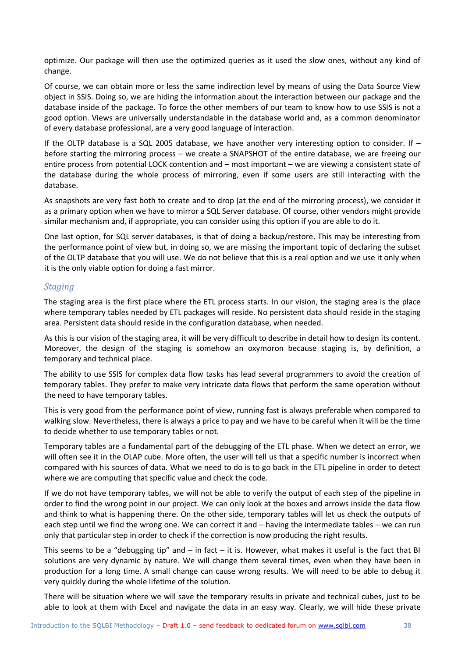optimize. Our package will then use the optimized queries as it used the slow ones, without any kind of change.

Of course, we can obtain more or less the same indirection level by means of using the Data Source View object in SSIS. Doing so, we are hiding the information about the interaction between our package and the database inside of the package. To force the other members of our team to know how to use SSIS is not a good option. Views are universally understandable in the database world and, as a common denominator of every database professional, are a very good language of interaction.

If the OLTP database is a SQL 2005 database, we have another very interesting option to consider. If – before starting the mirroring process – we create a SNAPSHOT of the entire database, we are freeing our entire process from potential LOCK contention and – most important – we are viewing a consistent state of the database during the whole process of mirroring, even if some users are still interacting with the database.

As snapshots are very fast both to create and to drop (at the end of the mirroring process), we consider it as a primary option when we have to mirror a SQL Server database. Of course, other vendors might provide similar mechanism and, if appropriate, you can consider using this option if you are able to do it.

One last option, for SQL server databases, is that of doing a backup/restore. This may be interesting from the performance point of view but, in doing so, we are missing the important topic of declaring the subset of the OLTP database that you will use. We do not believe that this is a real option and we use it only when it is the only viable option for doing a fast mirror.

#### *Staging*

The staging area is the first place where the ETL process starts. In our vision, the staging area is the place where temporary tables needed by ETL packages will reside. No persistent data should reside in the staging area. Persistent data should reside in the configuration database, when needed.

As this is our vision of the staging area, it will be very difficult to describe in detail how to design its content. Moreover, the design of the staging is somehow an oxymoron because staging is, by definition, a temporary and technical place.

The ability to use SSIS for complex data flow tasks has lead several programmers to avoid the creation of temporary tables. They prefer to make very intricate data flows that perform the same operation without the need to have temporary tables.

This is very good from the performance point of view, running fast is always preferable when compared to walking slow. Nevertheless, there is always a price to pay and we have to be careful when it will be the time to decide whether to use temporary tables or not.

Temporary tables are a fundamental part of the debugging of the ETL phase. When we detect an error, we will often see it in the OLAP cube. More often, the user will tell us that a specific number is incorrect when compared with his sources of data. What we need to do is to go back in the ETL pipeline in order to detect where we are computing that specific value and check the code.

If we do not have temporary tables, we will not be able to verify the output of each step of the pipeline in order to find the wrong point in our project. We can only look at the boxes and arrows inside the data flow and think to what is happening there. On the other side, temporary tables will let us check the outputs of each step until we find the wrong one. We can correct it and – having the intermediate tables – we can run only that particular step in order to check if the correction is now producing the right results.

This seems to be a "debugging tip" and  $-$  in fact  $-$  it is. However, what makes it useful is the fact that BI solutions are very dynamic by nature. We will change them several times, even when they have been in production for a long time. A small change can cause wrong results. We will need to be able to debug it very quickly during the whole lifetime of the solution.

There will be situation where we will save the temporary results in private and technical cubes, just to be able to look at them with Excel and navigate the data in an easy way. Clearly, we will hide these private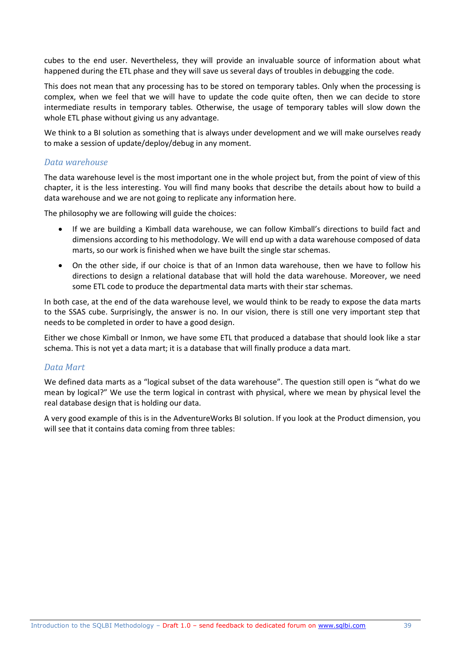cubes to the end user. Nevertheless, they will provide an invaluable source of information about what happened during the ETL phase and they will save us several days of troubles in debugging the code.

This does not mean that any processing has to be stored on temporary tables. Only when the processing is complex, when we feel that we will have to update the code quite often, then we can decide to store intermediate results in temporary tables. Otherwise, the usage of temporary tables will slow down the whole ETL phase without giving us any advantage.

We think to a BI solution as something that is always under development and we will make ourselves ready to make a session of update/deploy/debug in any moment.

#### *Data warehouse*

The data warehouse level is the most important one in the whole project but, from the point of view of this chapter, it is the less interesting. You will find many books that describe the details about how to build a data warehouse and we are not going to replicate any information here.

The philosophy we are following will guide the choices:

- If we are building a Kimball data warehouse, we can follow Kimball's directions to build fact and dimensions according to his methodology. We will end up with a data warehouse composed of data marts, so our work is finished when we have built the single star schemas.
- On the other side, if our choice is that of an Inmon data warehouse, then we have to follow his directions to design a relational database that will hold the data warehouse. Moreover, we need some ETL code to produce the departmental data marts with their star schemas.

In both case, at the end of the data warehouse level, we would think to be ready to expose the data marts to the SSAS cube. Surprisingly, the answer is no. In our vision, there is still one very important step that needs to be completed in order to have a good design.

Either we chose Kimball or Inmon, we have some ETL that produced a database that should look like a star schema. This is not yet a data mart; it is a database that will finally produce a data mart.

#### *Data Mart*

We defined data marts as a "logical subset of the data warehouse". The question still open is "what do we mean by logical?" We use the term logical in contrast with physical, where we mean by physical level the real database design that is holding our data.

A very good example of this is in the AdventureWorks BI solution. If you look at the Product dimension, you will see that it contains data coming from three tables: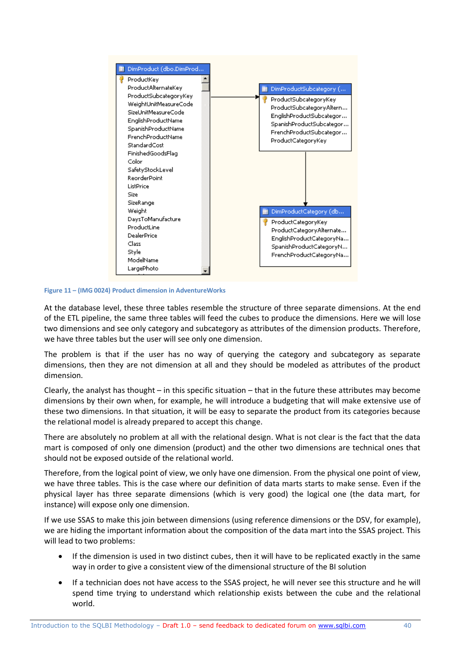

**Figure 11 – (IMG 0024) Product dimension in AdventureWorks**

At the database level, these three tables resemble the structure of three separate dimensions. At the end of the ETL pipeline, the same three tables will feed the cubes to produce the dimensions. Here we will lose two dimensions and see only category and subcategory as attributes of the dimension products. Therefore, we have three tables but the user will see only one dimension.

The problem is that if the user has no way of querying the category and subcategory as separate dimensions, then they are not dimension at all and they should be modeled as attributes of the product dimension.

Clearly, the analyst has thought – in this specific situation – that in the future these attributes may become dimensions by their own when, for example, he will introduce a budgeting that will make extensive use of these two dimensions. In that situation, it will be easy to separate the product from its categories because the relational model is already prepared to accept this change.

There are absolutely no problem at all with the relational design. What is not clear is the fact that the data mart is composed of only one dimension (product) and the other two dimensions are technical ones that should not be exposed outside of the relational world.

Therefore, from the logical point of view, we only have one dimension. From the physical one point of view, we have three tables. This is the case where our definition of data marts starts to make sense. Even if the physical layer has three separate dimensions (which is very good) the logical one (the data mart, for instance) will expose only one dimension.

If we use SSAS to make this join between dimensions (using reference dimensions or the DSV, for example), we are hiding the important information about the composition of the data mart into the SSAS project. This will lead to two problems:

- If the dimension is used in two distinct cubes, then it will have to be replicated exactly in the same way in order to give a consistent view of the dimensional structure of the BI solution
- If a technician does not have access to the SSAS project, he will never see this structure and he will spend time trying to understand which relationship exists between the cube and the relational world.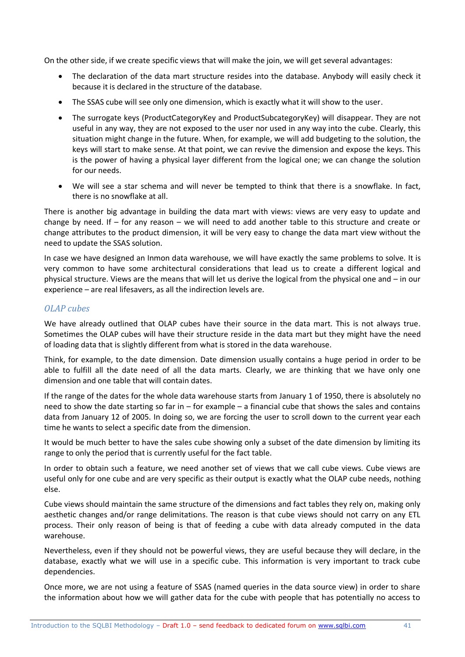On the other side, if we create specific views that will make the join, we will get several advantages:

- The declaration of the data mart structure resides into the database. Anybody will easily check it because it is declared in the structure of the database.
- The SSAS cube will see only one dimension, which is exactly what it will show to the user.
- The surrogate keys (ProductCategoryKey and ProductSubcategoryKey) will disappear. They are not useful in any way, they are not exposed to the user nor used in any way into the cube. Clearly, this situation might change in the future. When, for example, we will add budgeting to the solution, the keys will start to make sense. At that point, we can revive the dimension and expose the keys. This is the power of having a physical layer different from the logical one; we can change the solution for our needs.
- We will see a star schema and will never be tempted to think that there is a snowflake. In fact, there is no snowflake at all.

There is another big advantage in building the data mart with views: views are very easy to update and change by need. If – for any reason – we will need to add another table to this structure and create or change attributes to the product dimension, it will be very easy to change the data mart view without the need to update the SSAS solution.

In case we have designed an Inmon data warehouse, we will have exactly the same problems to solve. It is very common to have some architectural considerations that lead us to create a different logical and physical structure. Views are the means that will let us derive the logical from the physical one and – in our experience – are real lifesavers, as all the indirection levels are.

#### *OLAP cubes*

We have already outlined that OLAP cubes have their source in the data mart. This is not always true. Sometimes the OLAP cubes will have their structure reside in the data mart but they might have the need of loading data that is slightly different from what is stored in the data warehouse.

Think, for example, to the date dimension. Date dimension usually contains a huge period in order to be able to fulfill all the date need of all the data marts. Clearly, we are thinking that we have only one dimension and one table that will contain dates.

If the range of the dates for the whole data warehouse starts from January 1 of 1950, there is absolutely no need to show the date starting so far in – for example – a financial cube that shows the sales and contains data from January 12 of 2005. In doing so, we are forcing the user to scroll down to the current year each time he wants to select a specific date from the dimension.

It would be much better to have the sales cube showing only a subset of the date dimension by limiting its range to only the period that is currently useful for the fact table.

In order to obtain such a feature, we need another set of views that we call cube views. Cube views are useful only for one cube and are very specific as their output is exactly what the OLAP cube needs, nothing else.

Cube views should maintain the same structure of the dimensions and fact tables they rely on, making only aesthetic changes and/or range delimitations. The reason is that cube views should not carry on any ETL process. Their only reason of being is that of feeding a cube with data already computed in the data warehouse.

Nevertheless, even if they should not be powerful views, they are useful because they will declare, in the database, exactly what we will use in a specific cube. This information is very important to track cube dependencies.

Once more, we are not using a feature of SSAS (named queries in the data source view) in order to share the information about how we will gather data for the cube with people that has potentially no access to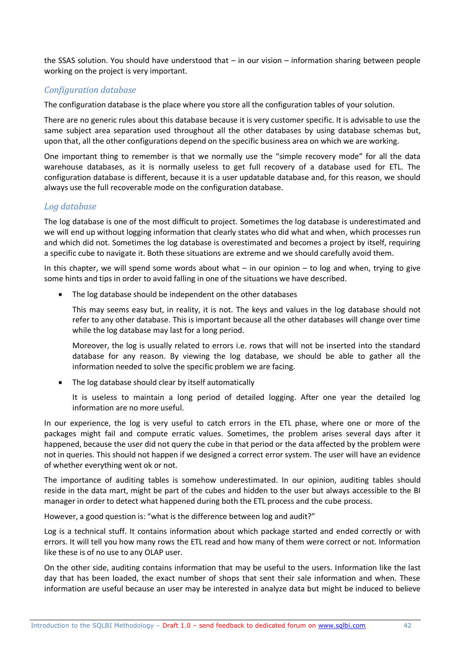the SSAS solution. You should have understood that – in our vision – information sharing between people working on the project is very important.

#### *Configuration database*

The configuration database is the place where you store all the configuration tables of your solution.

There are no generic rules about this database because it is very customer specific. It is advisable to use the same subject area separation used throughout all the other databases by using database schemas but, upon that, all the other configurations depend on the specific business area on which we are working.

One important thing to remember is that we normally use the "simple recovery mode" for all the data warehouse databases, as it is normally useless to get full recovery of a database used for ETL. The configuration database is different, because it is a user updatable database and, for this reason, we should always use the full recoverable mode on the configuration database.

#### *Log database*

The log database is one of the most difficult to project. Sometimes the log database is underestimated and we will end up without logging information that clearly states who did what and when, which processes run and which did not. Sometimes the log database is overestimated and becomes a project by itself, requiring a specific cube to navigate it. Both these situations are extreme and we should carefully avoid them.

In this chapter, we will spend some words about what  $-$  in our opinion  $-$  to log and when, trying to give some hints and tips in order to avoid falling in one of the situations we have described.

The log database should be independent on the other databases

This may seems easy but, in reality, it is not. The keys and values in the log database should not refer to any other database. This is important because all the other databases will change over time while the log database may last for a long period.

Moreover, the log is usually related to errors i.e. rows that will not be inserted into the standard database for any reason. By viewing the log database, we should be able to gather all the information needed to solve the specific problem we are facing.

• The log database should clear by itself automatically

It is useless to maintain a long period of detailed logging. After one year the detailed log information are no more useful.

In our experience, the log is very useful to catch errors in the ETL phase, where one or more of the packages might fail and compute erratic values. Sometimes, the problem arises several days after it happened, because the user did not query the cube in that period or the data affected by the problem were not in queries. This should not happen if we designed a correct error system. The user will have an evidence of whether everything went ok or not.

The importance of auditing tables is somehow underestimated. In our opinion, auditing tables should reside in the data mart, might be part of the cubes and hidden to the user but always accessible to the BI manager in order to detect what happened during both the ETL process and the cube process.

However, a good question is: "what is the difference between log and audit?"

Log is a technical stuff. It contains information about which package started and ended correctly or with errors. It will tell you how many rows the ETL read and how many of them were correct or not. Information like these is of no use to any OLAP user.

On the other side, auditing contains information that may be useful to the users. Information like the last day that has been loaded, the exact number of shops that sent their sale information and when. These information are useful because an user may be interested in analyze data but might be induced to believe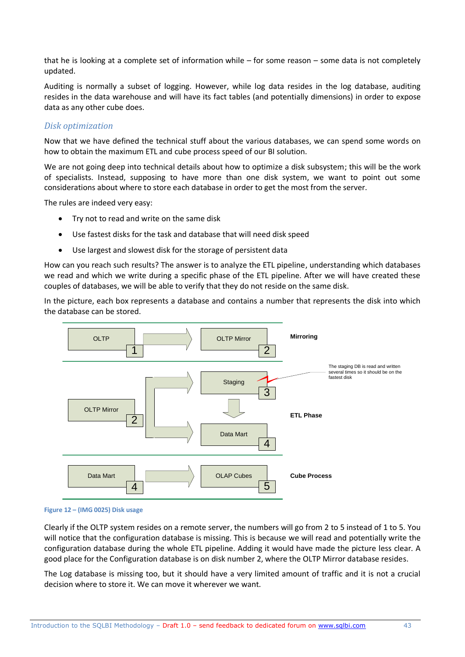that he is looking at a complete set of information while – for some reason – some data is not completely updated.

Auditing is normally a subset of logging. However, while log data resides in the log database, auditing resides in the data warehouse and will have its fact tables (and potentially dimensions) in order to expose data as any other cube does.

#### *Disk optimization*

Now that we have defined the technical stuff about the various databases, we can spend some words on how to obtain the maximum ETL and cube process speed of our BI solution.

We are not going deep into technical details about how to optimize a disk subsystem; this will be the work of specialists. Instead, supposing to have more than one disk system, we want to point out some considerations about where to store each database in order to get the most from the server.

The rules are indeed very easy:

- Try not to read and write on the same disk
- Use fastest disks for the task and database that will need disk speed
- Use largest and slowest disk for the storage of persistent data

How can you reach such results? The answer is to analyze the ETL pipeline, understanding which databases we read and which we write during a specific phase of the ETL pipeline. After we will have created these couples of databases, we will be able to verify that they do not reside on the same disk.

In the picture, each box represents a database and contains a number that represents the disk into which the database can be stored.



#### **Figure 12 – (IMG 0025) Disk usage**

Clearly if the OLTP system resides on a remote server, the numbers will go from 2 to 5 instead of 1 to 5. You will notice that the configuration database is missing. This is because we will read and potentially write the configuration database during the whole ETL pipeline. Adding it would have made the picture less clear. A good place for the Configuration database is on disk number 2, where the OLTP Mirror database resides.

The Log database is missing too, but it should have a very limited amount of traffic and it is not a crucial decision where to store it. We can move it wherever we want.